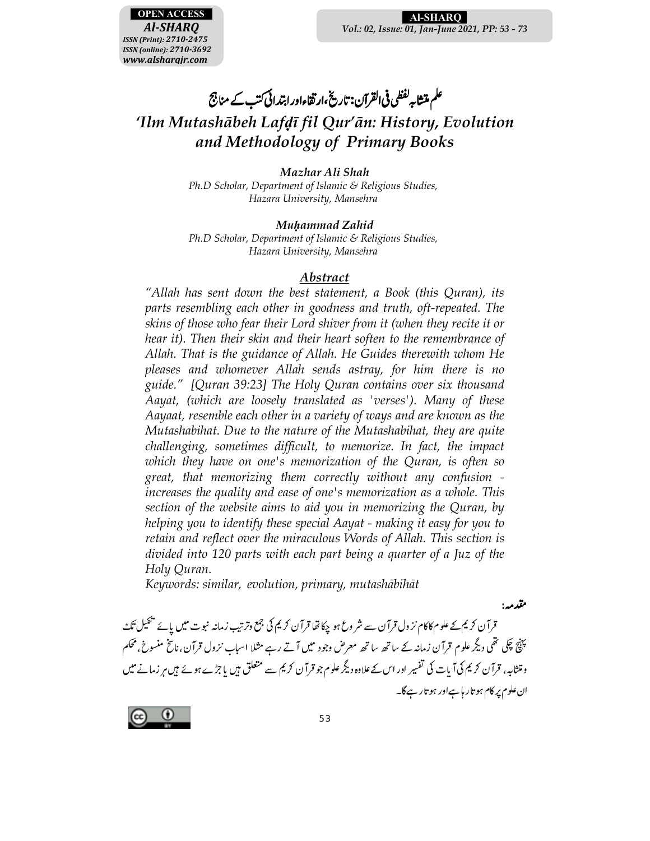

مقدمه :

# علم متشابه لفظی فی القرآن: تاریخ،ار تقاءاور ابتدائی کتب کے مناجج *'Ilm Mutashābeh Lafḍī fil Qur'ān: History, Evolution and Methodology of Primary Books*

*Mazhar Ali Shah Ph.D Scholar, Department of Islamic & Religious Studies, Hazara University, Mansehra* 

*Muḥammad Zahid Ph.D Scholar, Department of Islamic & Religious Studies, Hazara University, Mansehra* 

#### *Abstract*

*"Allah has sent down the best statement, a Book (this Quran), its parts resembling each other in goodness and truth, oft-repeated. The skins of those who fear their Lord shiver from it (when they recite it or hear it). Then their skin and their heart soften to the remembrance of Allah. That is the guidance of Allah. He Guides therewith whom He pleases and whomever Allah sends astray, for him there is no guide." [Quran 39:23] The Holy Quran contains over six thousand Aayat, (which are loosely translated as 'verses'). Many of these Aayaat, resemble each other in a variety of ways and are known as the Mutashabihat. Due to the nature of the Mutashabihat, they are quite challenging, sometimes difficult, to memorize. In fact, the impact which they have on one's memorization of the Quran, is often so great, that memorizing them correctly without any confusion increases the quality and ease of one's memorization as a whole. This section of the website aims to aid you in memorizing the Quran, by helping you to identify these special Aayat - making it easy for you to retain and reflect over the miraculous Words of Allah. This section is divided into 120 parts with each part being a quarter of a Juz of the Holy Quran.* 

*Keywords: similar, evolution, primary, mutashābihāt* 

۔<br>قرآن کریم کے علوم کاکام نز ول قرآن سے شروع ہو چکا تھا قرآن کریم کی جمع وترتیب زمانہ نبوت میں پائے پیچیل تک - کر میں اس کی اس کے معنی کر کرتا ہے کہ اس کے مسلم کر کرتا ہو کہا تھا کہ کر کرتا ہے کہ کرتا ہے اور کیا جاتا ہے ک<br>پہنچ چکی تھی دیگر علوم قرآن زمانہ کے ساتھ ساتھ معرض وجود میں آتے رہے مثلا اسباب نزول قرآن،ناسخ منسوخ، محکم  $\overline{a}$  $\overline{\phantom{a}}$  $\overline{a}$  و متثابہ، قرآن کریم کی آ یات کی تفسیر اور اس کے علاوہ دیگر علوم جو قرآن کریم سے متعلق ہیں یا جڑے ہوئے ہیں ہر زمانے میں  $\overline{a}$ Q ان علوم پر کام ہو تار ہاہے اور ہو تار ہے گا۔  $\overline{a}$ 

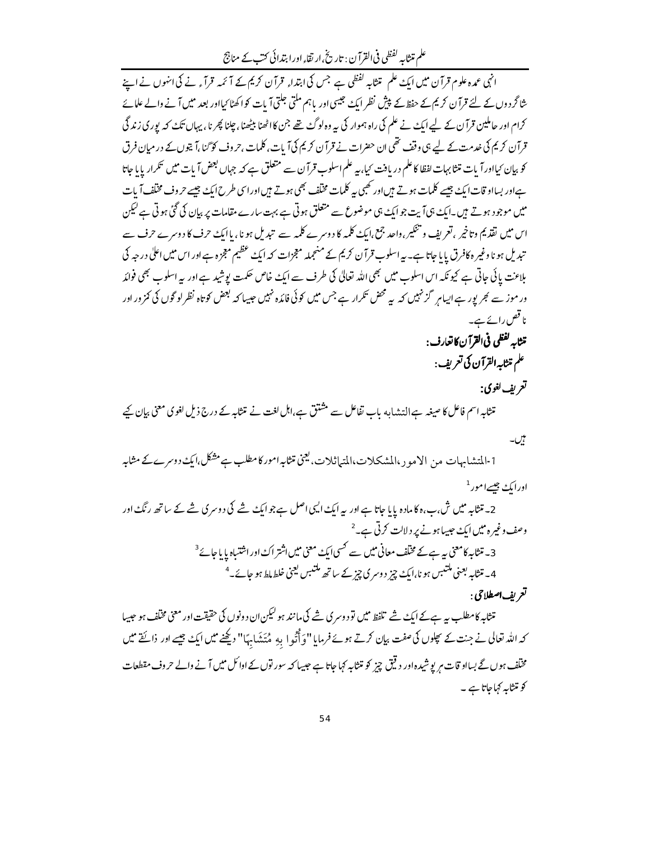علم متثابہ لفظی فی القرآن : تاریخ ارتقاء اور ابتدائی کتب کے مناجج

۔<br>انہی عمدہ علوم قرآن میں ای<sub>گ</sub> علم متثابہِ لفظی ہے جس کی ابتداءِ قرآن کریم کے آ ئمہ قرآءِ نے کی انہوں نے اپنے شا گردوں کے لئے قرآن کریم کے حفظ کے پیش نظر ایک جیسی اور باہم ملتی جلتی آیات کواکھٹا کیااور بعد میں آنے والے علمائے کرام اور حاملین قرآ ن کے لیے ایک نے علم کی راہ ہموار کی یہ وہ لوگۓ تھے جن کااٹھنا بیٹھنا ، چلنا پھر نا ، یہاں تک کہ پوری زند گی قرآن کریم کی خدمت کے لیے ہی وقف تھی ان حضرات نے قرآن کریم کی آیات، کلمات ,حروف کو گنا ،آ یتوں کے در میان فرق کو بیان <sup>ک</sup>یااور آبات متثابہات لفظا کا علم دریافت کیا، بیہ علم اسلوب قرآن سے متعلق ہے کہ جہاں بعض آبات میں <sup>ہی</sup>کرار پایا جاتا ہےاور بسااو قات ایک جیسے کلمات ہوتے ہیںاور کھیں یہ کلمات مختلف بھی ہوتے ہیںاورا سی طرح ایک جیسے حروف مختلف آیات میں موجود ہوتے ہیں۔ایک ہی آیت جوایک ہی موضوع سے متعلق ہوتی ہے بہت سارے مقامات پر بیان کی گئی ہوتی ہے لیکن اس میں نقذ یم وتاخیر ، تعریف و تنکیر،واحد جمع،ایکُ کلمه کا دوسرے کلمہ سے تبدیل ہو نا،پاایکُ حرف کا دوسرے حرف سے تبدیل ہو ناوغیر ہ کافرق پایا جاتا ہے۔ یہ اسلوب قرآن کریم کے منعجملہ معجزات کہ ایک عظیم معجزہ ہےاور اس میں اعلی درجہ کی بلاعت پائی جاتی ہے کیونکہ اس اسلوب میں بھی اللہ تعالیٰ کی طرف سے ایک خاص حکمت پوشید ہے اور یہ اسلوب بھی فوائد ور موز سے بھر پور ہے ایسامر گز نہیں کہ یہ محض تکرار ہے جس میں کوئی فائدہ نہیں جیسا کہ بعض کوتاہ نظر لو گوں کی کمز ور اور نا قص رائے ہے۔ تتثابه كفظي في القرآن كاتعارف:

علم متثابه القرآن کی تعریف :

## تعريف لغوي:

متثابہ اسم فاعل کا صیغہ ہے التشابہ باب تفاعل سے مشتق ہے،اہل لغت نے متثابہ کے درج ذیل لغوی معنی بیان کیے

- بیں۔ 1-المتشابہات من الامور،المشکلات،المتیاثلات،لیجنی تنثابہامور کامطلب ہے مشکل،ایک دوسرےکے مثابہ اور ایک جیسے امور <sup>1</sup>
	- 2۔ متثابہ میں ش،ب،ہ کا مادہ پایا جاتا ہے اور پہ ایک ایک اصل ہے جو ایک شے کی دوسر کی شے کے ساتھ رنگ اور وصف وغیر ہ میں ایک حبیباہونے پر دلالت کرتی ہے۔<sup>2</sup> 3۔ متنابہ کامعنی یہ ہےکے مخلف معانی میں سے کسی ایک معنی میں اشتر اک اور اشتیاہ یا یا جائے <sup>3</sup> 4۔ متثابہ بعنی مکتبس ہو نا،ایک چز دوسری چز کے ساتھ مکتبس بعنی خلط ملط ہو جائے۔<sup>4</sup>
		- تع بف اصطلاحي :

متثابہ کامطلب ہ<sub>ے</sub> ہےکے ای<sub>گ</sub> شے تلفظ میں تو دوسری شے کی مانند ہو <sup>لیک</sup>ن ان دونوں کی حقیقت اور معنی مختلف ہو جیسا کہ اللہ تعالی نے جنت کے پھلوں کی صفت بیان کرتے ہوئے فرمایا "وَأَتُوا بِهِ مُتَشَابِهَا" دیکھنے میں ایک جیسے اور ذائقے میں مخلّف ہوں گے بسااو قات مریوشیدہ اور دیتی چیز کو متثابہ کہاجاتا ہے جیسا کہ سور توں کے اوائل میں آنے والے حروف مقطعات کو متثابہ کہاجاتا ہے ۔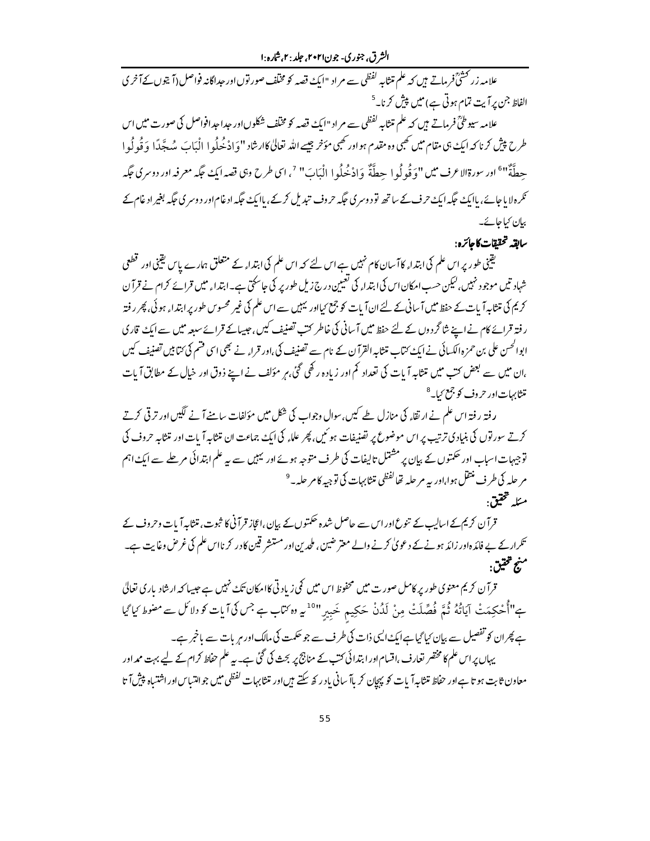الشرق، جنوري- جون۲۰۲۱، جلد : ۲.شاره :۱

علامہ زر <sup>تحشیؒ</sup> فرماتے ہیں کہ علم تنثابہ لفظی سے مراد "ایک قصہ کو مخلف صور توںاور حبداگانہ فواصل (آ یتوںکے آخر ی الفاظ جن پرآیت تمام ہوتی ہے) میں پیش کرنا۔<sup>5</sup>

علامہ سیوطیؒ فرماتے ہیں کہ علم متثابہ لفظی سے مراد "ایک قصہ کو مخلف شکلوں اور حداحدافواصل کی صورت میں اس طرح پیش کرنا کہ ایک ہی مقام میں کھی وہ مقدم ہواور کھیں مؤخر جیسے اللہ تعالیٰ کاارشاد ''وَادْ خُلُوا الْبَابَ مُهجَّدًا وَقُولُوا حطَّةٌ"<sup>6</sup>" اور سورةالاعرف ميں "وَقُو لُو ا حِطَّةٌ وَادْخُلُو ا الْبَابَ" <sup>7</sup>، اى طرح وہى قصد ايك حكِّه معرفه اور دوسرى حكِّه نکرہ لا یاجائے، پاایک جگہ ایک حرف کے ساتھ تو دوسری جگہ حروف تبدیل کرکے، پاایک جگہ ادغام اور دوسری جگہ بغیر ادغام کے بیان کیا جائے۔

سابقه تحققات كإجائزه:

یقینی طور پر اس علم کی ابتداء کاآ سان کام نہیں ہے اس لئے کہ اس علم کی ابتداء کے متعلق ہمارے پاس یقینی اور تھلعی شہاد تیں موجود نہیں،لیکن حسب امکان اس کی ابتدا<sub>ء</sub> کی تعیین درج زیل طور پر کی جاسکتی ہے۔ابتدا<sub>ء</sub> میں قرائے کرام نے قرآ ن کر کی کی متنا ہہ آ بات کے حفظ میں آ سانی کے لئے ان آ بات کو جمع کیااور نہیں سے اس علم کی غیر محسوس طور پر ابتداء ہوئی، پھر ر فتہ ر فتہ قرائے کام نے اپنے شا گردوں کے لئے حفظ میں آ سانی کی خاطر کتب تصنیف کیں، جیسالے قرائے سیعہ میں سے ایک قاري ابوالحس علی بن حمزہ الکسائی نے ایک ُکتاب متثابہ القرآن کے نام سے تصنیف کی،اور قراء نے بھی اسی قسم کی ُکتابیں تصنيف کيس ،ان میں سے بعض کتب میں متثابہ آیات کی تعداد کم اور زیادہ رکھی گئی،ہر مؤلف نے اپنے ذوق اور خیال کے مطابق آیات متشابهات اور حروف کو جمع <sub>کیا۔</sub>8

رفتہ رفتہ اس علم نے ارتقاء کی منازل طے کیں،سوال وجواب کی شکل میں مؤلفات سامنے آنے لگیں اور ترقی کرتے کرتے سور توں کی بنیادی ترتیب پر اس موضوع پر تصنیفات ہو ئیں، پھر علاء کی ایک جماعت ان تنثابہ آیات اور تنثابہ حروف کی توجیہات اسباب اور حکمتوں کے بیان پر مشتمل تالیفات کی طرف متوجہ ہوئے اور لیبیں سے بیہ علم ابتدائی مرحلے سے ایک اہم مر حله کی طرف منتقل ہوا،اور <sub>بی</sub>ہ مر حلہ تھا<sup>لفظی</sup> متثابہات کی توجیہ کامر حلہ ۔ <sup>9</sup> مئله تحقيق:

قرآن کریم کے اسالیپ کے تنوع اور اس سے حاصل شدہ حکمتوں کے بیان ،اعجاز قرآنی کا ثبوت، متثابہ آیات وحروف کے تکرارکے بے فائدہ اور زائد ہونےکے دعویٰ کرنے والے معتر ضین ، ملحد بن اور مستشر قین کادر کر نااس علم کی غرض وغایت ہے۔ منبو تحقيق.

قرآن کریم معنوی طور پر کامل صورت میں محفوظ اس میں کی زیادتی کاامکان تک<sup>ے نہ</sup>یں ہے جیسا کہ ارشاد باری تعالیٰ ہے"اُُحْکِمَتْ آیَاتُهُ ثُمَّ فُصَّلَتْ مِنْ لَدُنْ حَکِیم خَبِیرٍ"<sup>10</sup>یہ وہ *کت*اب ہے جس کی آیات کو دلا کل سے مضوط کیا گیا ہے پھران کو تفصیل سے بیان کیا گیا ہےایک ایسی ذات کی طرف سے جو حکمت کی مالک اور میں بات سے یاخبر ہے۔ یہاں پر اس علم کا مختصر تعارف ،اقسام اور ابتدائی کتب کے مناجج پر بحث کی گئی ہے۔ یہ علم حفاظ کرام کے لیے بہت ممداور معاون ثابت ہو تا ہےاور حفاظ متثابہ آیات کو پہجان کر پاآ سانی یاد رکھ سکتے ہیںاور متثابہات لفظی میں جوالتساس اور اشتیاہ پیش آ تا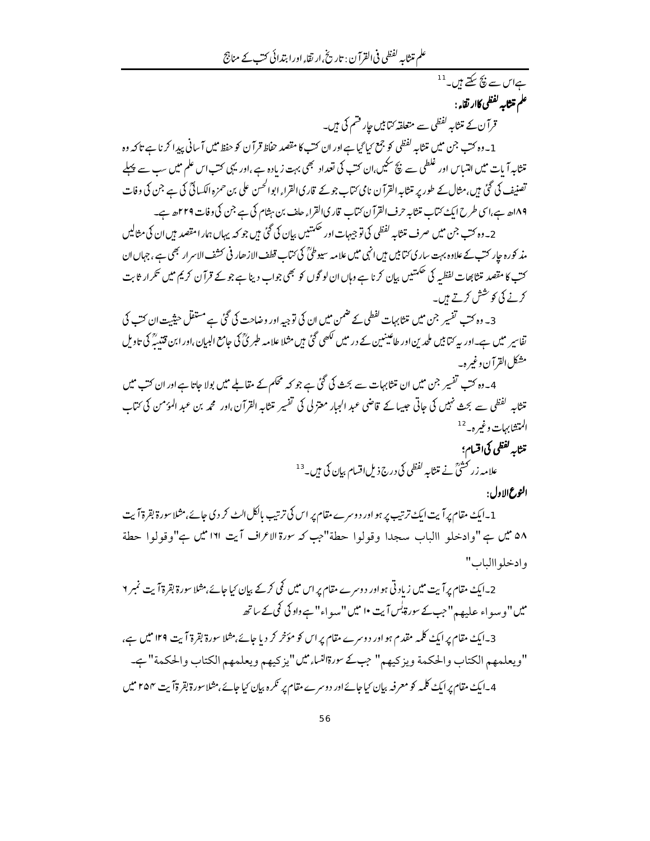علم متثابه لفظي في القرآن : تاريخ،ار نقاء اورا بتدائي كتب كے مناجج

ے<br>ہےاس سے بنچ سکتے ہیں۔<sup>11</sup> علم متثابه لفظي كاار نقاء :

قرآن کے متنابہ لفظی سے متعلقہ کتابیں جار قشم کی ہیں۔

1 ۔وہ کتب جن میں متنا ہہ لفظی کو جمع کیا گیا ہےاور ان کتب کا مقصد حفاظ قرآ ن کو حفظ میں آ سانی پیدا کر نا ہے تاکہ وہ ۔<br>تنثابہ آیات میں انتساس اور غلطی سے پچ سکیں،ان کتب کی تعداد بھی بہت زیادہ ہے ،اور یہی کتب اس علم میں سب سے پہلے تصنیف کی گئی ہیں،مثال کے طور پر متثابہ القرآن نامی کتاب جومے قاری القرا، ابوالحسن علی بن حمزہ الکسائی کی ہے جن کی وفات ۱۸۹ھ ہے،اسی طرح ایک ُکتاب متثابہ حرف القرآن کتاب قاری القراء حلف بن ہثام کی ہے جن کی وفات ۲۲۹ھ ہے۔

2۔وہ کتب جن میں صرف متشابہ لفظی کی توجیہات اور حکمتیں بیان کی گئی میں جو کہ یہاں ہمار امتصد ہیں ان کی مثالیں مذ کورہ جار کتےکے علاوہ بہت ساری کتابیں ہیں انہی میں علامہ سیوطیؒ کی کتاب قطف الازھار فی کشف الاسرار بھی ہے ، جہاں ان کت کا مقصد متثابھات لفظیہ کی حکمتیں بیان کرنا ہے وہاں ان لو گوں کو بھی جواب دینا ہے جو کے قرآن کریم میں تکرار ثابت كرنے كى كوشش كرتے ہيں۔

3۔ وہ کتب تفسیر جن میں تنتابہات گفطی کے ضمن میں ان کی توجیہ اور وضاحت کی گئی ہے مستقل حیثیت ان کت کی تفاسیر میں ہے۔اور یہ کتابیں ملحد بن اور طاعینیین کے در میں لکھی گئی ہیں مثلا علامہ طبر پٰ کی جامع البیان،اور ابن قتند ؓ کی تاویل مشكل القرآن وغير ه\_

4۔وہ کتب تفسیر جن میں ان متثابہات سے بحث کی گئی ہے جو کہ محکم کے مقابلے میں بولا جاتا ہےاور ان کتب میں تنثابہ گفظی سے بحث نہیں کی جاتی جیسا کے قاضی عبد الجار معتزلی کی تفسیر تنثابہ القرآن،اور محمہ بن عبد المؤمن کی ئتاب المتشابهات وغيره- <sup>12</sup>

- .<br>منتابه <sup>لفظی</sup> کی اقسام؛ علامہ زر تحشیٰ نے متنابہ لفظی کی درج ذیل اقسام بیان کی ہیں۔<sup>13</sup> الثوع الإول:
- 1 ۔ایک مقام پر آیت ایک ترتیب پر ہو اور دوسرے مقام پر اس کی ترتیب پالکل ایٹ کر دی جائے،مثلا سورۃ بقرۃ آیت ۵۸ میں ہے "وادخلو االباب سجدا وقولوا حطة"جب کہ سورة الاعراف آیت ۱۲۱ میں ہے"وقولوا حطة وإدخلو االباب"

2۔ایک مقام پر آیت میں زیاد تی ہو اور دوسرے مقام پر اس میں کی کرکے بیان کیا جائے،مثلا سورۃ بقرۃ آیت نمبر ۲ میں "وسواء علیہہ" جب کے سورۃیٰس آیت •ا میں "سو اء" ہے داو کی کمی کے ساتھ

3۔ایک مقام پر ایک کلمہ مقدم ہو اور دوسرے مقام پر اس کو مؤخر کر دیا جائے،مثلا سورۃ بقرۃ آیت ۱۲۹ میں ہے، "ويعلمهم الكتاب والحكمة ويزكيهم" جبكے سورةالناء ميں"يزكيهم ويعلمهم الكتاب والحكمة"جـ 4۔ایک مقام پرایکٹ کلمہ کو معرفہ بیان کیاجائےاور دوسرے مقام پر نکرہ بیان کیاجائے،مثلاسورۃ بقرۃآیت ۲۵۴ میں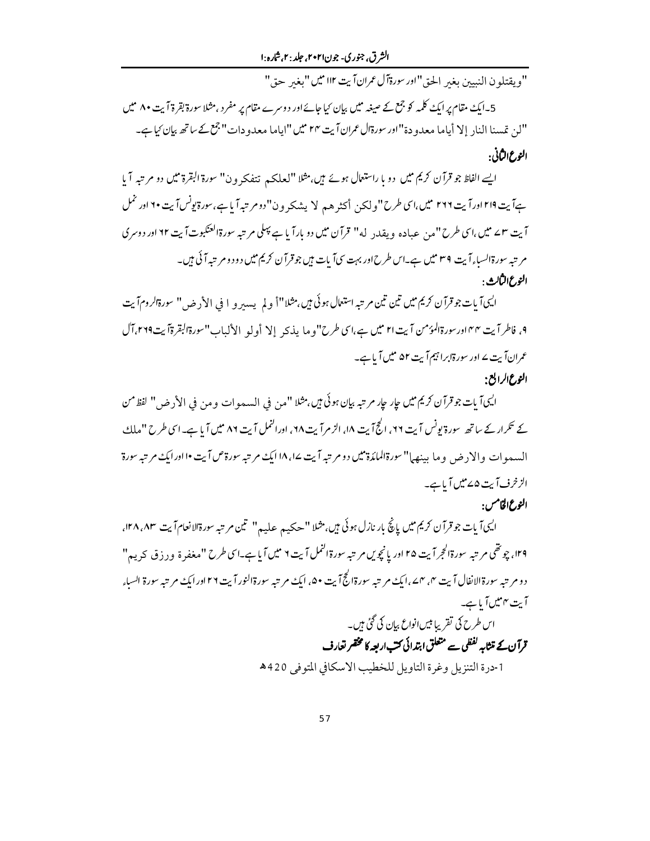الشرق، جنوري- جون۲۰۲۱، جلد : ۲.شاره :۱

"ويقتلو ن النبيين بغير الحق"اور سورةآل عمران آيت II۲ ميس "بغير حق"

5۔ایک مقام پر ایک کلمہ کو جمع کے صیغہ میں بیان کیا جائے اور دوسرے مقام پر مفر د ،مثلا سورۃ بقرۃ آیت ۸۰ میں "لن تمسنا الناد إلا أياما معدو دة"اور سورةال عمران آيت ٢۴ ميل "اياما معدو دات" جمع كے ساتھ بيان كياہے۔ النوع الثَاني:

ایسے الفاظ جو قرآن کریم میں دو با راستعال ہوئے ہیں، مثلا "لعلکہ تتفکرون" سورة البقرة میں دو مرتبہ آیا ہےآیت ۲۱۹ اور آیت ۲۶۶ میں،اسی طرح "ولکن أکثر هم لا یشکرون"دومر تبہ آیاہے،سورةیونسآیت ۲۰ اور نمل آیت ٣٢ میں،اسی طرح "من عباده ویقد<sub>د</sub> له" قرآن میں دو بارآیا ہے پہلی مرتبہ سورةالعنګبوت آیت ٢٢ اور دوسری مر تبه سورة السباءآيت ٣٩ ميل ہے۔اس طرح اور بہت سي آيات ہيں جو قرآن كريم ميں دود و مر تبہ آ ئي ہيں۔ النوع الثالث :

ايي؟ بات جو قرآن كريم ميں تين تين مر تبه استعال ہوئي ہيں،مثلا"أ ولم يہ بين و ا في الأرض" سورةالرومآيت ٩, فاطرآيت ٣٣ اورسورةالمؤمن آيت ٢١ مين ہے،اسي طرح"وما يذبحه إلا أولو الألباب"سورةالبقرةآيت٢٦٩.آل عمران آیت <sup>ے</sup> اور سورۃابراہیم آیت ۵۲ میں آیا ہے۔ النوع الرابع:

اليي آيات جوقرآن كريم ميں عار عار مرتبہ بيان بوئي ميں. مثلا "من في السموات ومن في الأرض" لفظ من کے تکرار کے ساتھ سورۃ یونس آیت ۲۲، الج7یت ۱۸، الزمرآیت ۲۸، اورالنمل آیت ۸۶ میں آیا ہے۔اسی طرح "ملك السعهوات والاد ض و ما مدنهها" سورةالملكرة ميں دو م تبه آيت ١٨ امك م تبه سورة ص آيت ١٠ اورامك م تبه سورة الزخرف آيت ۵۷ميں آباہے۔

النوع الخامس:

اليي آيات جو قرآن کريم ميں پانچ بار نازل ہوئي ہيں،مثلا "حڪيہ عليہ" تين مر تبہ سورةالانعام آيت ١٢٨،٨٣، ۲۹، چوتھی مر تبہ سورةالحجراً پت ۲۵ اور یانچویں مر تبہ سورةالنمل آیت ۲ میں آیا ہے۔اسی طرح "مغفرۃ و د ذق کریہ" دو مر تبه سورةالانفال آيت ۴، ۴ ـ، ايك مر تبه سورةالجُ آيت ۵۰، ايك مر تبه سورةالنور آيت ٢٦ اورايك مر تبه سورة السباء آیت ۴میں آیا ہے۔

# اس طرح کی تقریبا بیں انواع بیان کی گئی ہیں۔ قرآن کے متثابہ لفظی سے متعلق ابتدائی کت اربعہ کا مختصر تعارف

1-درة التنزيل وغرة التاويل للخطيب الاسكافي المتوفى 420هـ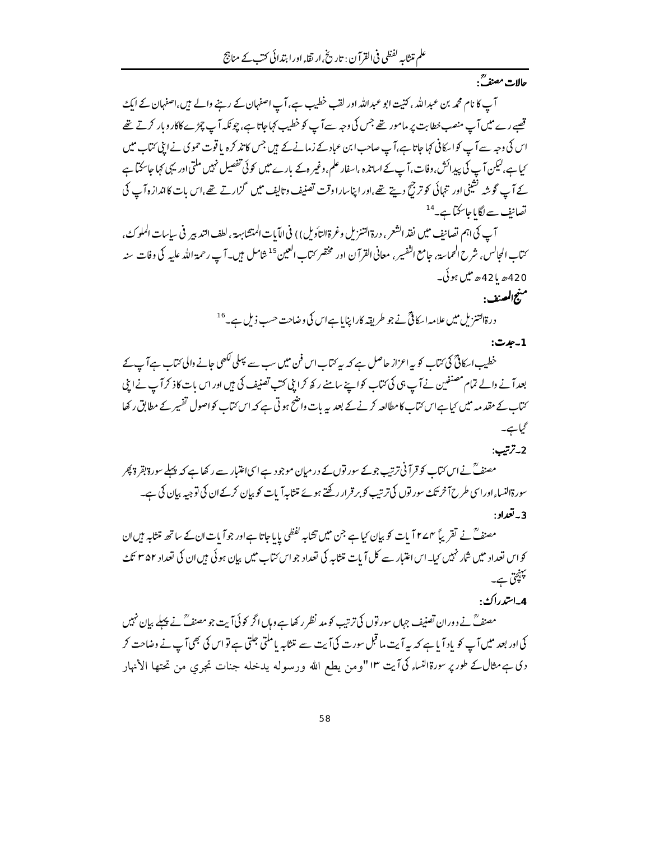حالات مصنف<sup>يق</sup>.

آپ کا نام محمد بن عبداللہ ، کنیت ابو عبداللہ اور لقب خطیب ہے، آپ اصفہان کے رہنے والے ہیں،اصفہان کے ایک تصے رے میں آپ منصب خطابت پر مامور تھے جس کی وجہ سے آپ کو خطیب کہاجاتا ہے، چو نکہ آپ چڑے کاکار و بار کرتے تھے اس کی وجہ سے آپ کو اسکافی کہا جاتا ہے،آپ صاحب ابن عباد کے زمانے کے ہیں جس کا تذ کرہ یا قوت حموی نے اپنی کتاب میں <sub>کیا ہ</sub>ے،لیکن آپ کی پیدائش،وفات،آپ کے اساتذہ ،اسفار علم،وغیر ہ کے بارے میں کوئی تفصیل نہیں ملتی اور یہی کہا جاسکتا ہے کے آپ گوشہ نشینی اور تنہائی کو ترجیح دیتے تھے،اور اپناسارا وقت تصنیف وتالیف میں گزارتے تھے،اس بات کااندازہ آپ کی تصانف سے لگا ما جاسکتا ہے۔<sup>14</sup>

آپ كى اہم تصانيف ميں نفذ الشعر ، درة التنزيل وغرة التأويل) ) في الآيات المتشابهة ، لطف التدبير في سياسات الملوك، <sup>س</sup>مّاب المجالس، شرح الحماسة، جامع النّفسير، معاني القرآن اور مخضر <sub>ك</sub>تاب العين <sup>15</sup>شامل <sup>ب</sup>ين۔ آپ رحمة الله عليه كي وفات سنه 420ھ يا 42ھ ميں ہو ئي۔ منهج المصنف:

درةالتنزیل میں علامہ اسکانیؓ نے جو طریقہ کارا پنایا ہےاس کی وضاحت حسب ذیل ہے۔ <sup>16</sup>

#### 1-جدت:

خطیب اسکاٹیؒ کی کتاب کو یہ اعزاز حاصل ہے کہ یہ کتاب اس فن میں سب سے پہلی لکھی جانے والی کتاب ہےآ پ کے بعدآ نے والے تمام مصنفین نے آپ ہی کی کتاب کواپنے سامنے رکھ کرا بنی کتب تصنیف کی ہیں اور اس بات کاذ کر آپ نے ابنی کتاب کے مقدمہ میں کیاہےاس کتاب کا مطالعہ کرنے کے بعد یہ بات واضح ہوتی ہے کہ اس کتاب کواصول تفسیر کے مطابق رکھا گیا ہے۔

2-ترتيب:

مصنف ؒ نے اس کتاب کو قرآنی ترتیب جو کے سور توں کے در میان موجود ہے اسی اعتبار سے رکھا ہے کہ پہلے سورۃ بقرۃ پھر سورةالنساء اوراسی طرح آخر تک سور توں کی ترتیب کو بر قرار رکھتے ہوئے متثابہآ بات کو بیان کرکے ان کی تو جیہ بیان کی ہے۔ 3 - تعداد :

مصنفؒ نے تقریباً ٢٧٢ مات کو بیان کیا ہے جن میں تشایبہ لفظی پایا جاتا ہےاور جوآ یات ان کے ساتھ متشایبہ بیں ان کو اس تعداد میں شار نہیں کیا۔اس اعتبار سے کل آیات متثابہ کی تعداد جو اس کتاب میں بیان ہو ئی ہیں ان کی تعداد ۳۵۲ تک پہنچی ہے۔

### 4-استدراك:

مصنفؒ نے دوران تصنیف جہاں سور توں کی ترتیب کو مد نظر رکھا ہے وہاں اگر کو ئی آیت جو مصنفؒ نے پہلے بیان نہیں کی اور بعد میں آپ کو یاد آیا ہے کہ بہ آیت ما قبل سورت کی آیت سے متثابہ پامکتی جلتی ہے تو اس کی بھی آپ نے وضاحت کر وي ہے مثال کے طور پر سورۃالنساء کی آیت ١٣ "ومن يطع الله ورسوله يدخله جنات تجري من تحتها الأنهار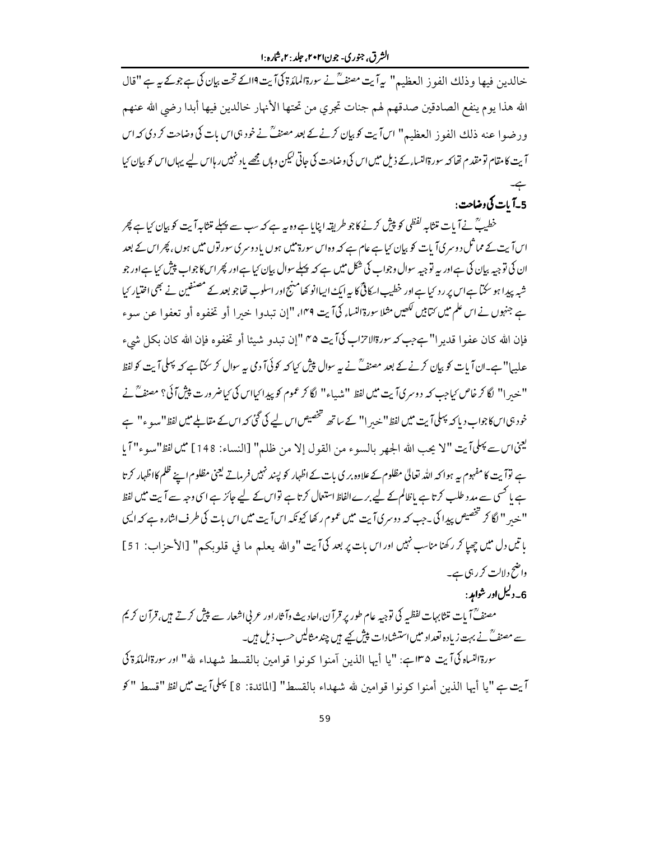خالدین فیها وذلك الفوز العظیم" بیآیت مصنفؒ نے سورۃالملدَۃ کیآیت9اکے تحت بیان کی ہے جوکے بیہ "قال الله هذا يوم ينفع الصادقين صدقهم لهم جنات تجري من تحتها الأنهار خالدين فيها أبدا رضي الله عنهم ورضوا عنه ذلك الفوز العظيم" اسآيت كوبيان كرنےكے بعد مصنفؒ نے خود بی اس بات كی وضاحت كر دی كہ اس آیت کامقام تو مقدم تھا کہ سورۃالنساء کے ذیل میں اس کی وضاحت کی جاتی لیکن وہاں مجھے یاد نہیں رہااس لیے یہاں اس کو بیان کیا

# 5-آيات کې دضاحت:

خطیب ؒ نےآ بات متثابہ لفظی کو پیش کرنے کاجو طریقہ اپنایا ہے وہ یہ ہے کہ سب سے پہلے متثابہ آیت کو بیان کیاہے پھر اس آیت کے مما ثل دوسر کیآ بات کو بیان کیا ہے عام ہے کہ وہ اس سورۃ میں ہوں یا دوسر کی سور توں میں ہوں، پھر اس کے بعد ان کی توجیہ بیان کی ہےاور یہ توجیہ سوال وجواب کی شکل میں ہے کہ پہلے سوال بیان کیا ہےاور پھر اس کاجواب پیش کیا ہےاور جو شبہ پیدا ہو سکتا ہے اس پر رد کیا ہےاور خطیب اسکافیؒ کا ہہ ایک ایپاانو کھامنہج اور اسلوب تھاجو بعد کے مصنفین نے بھی اختیار کیا ہے جنہوں نے اس علم میں <sub>کتا</sub>بیں لکھیں مثلا سورۃالنسا<sub>ء</sub> کی آیت ۱۴۹، "إن تبدوا خیرا أو تخفوه أو تعفوا عن سوء فإن الله كان عفوا قدير ا"بحجب كه سورةالاتزاب كيآيت ٣٥ "إن تبدو شيئا أو تخفوه فإن الله كان بكل شيء علییا"ہے۔ان آیات کو بپان کرنے کے بعد مصنفؒ نے بیہ سوال پیش کیا کہ کوئی آ دمی بیہ سوال کر سکتاہے کہ پہلی آیت کو لفظ " خدر ا" لگا کر خاص کیاجب کہ دوسر کیآ بت میں لفظ "شہباء" لگا کر عموم کو پیدا کیااس کی کیاضرورت پیش آ ئی؟ مصنف ؒ نے خود ہی اس کاجواب دیا کہ پہلیآ یت میں لفظ '' خبر ا'' کے ساتھ تخصیص اس لیے کی گئی کہ اس کے مقابلے میں لفظ '' سہو ء'' ہے لِيمَناسِ يَجْلَىآيت "لا يجب الله الجهر بالسوء من القول إلا من ظلم" [النساء: 148] ميں لفظ"سوء" آيا ہے توآ پت کا مفہوم ہہ ہوا کہ اللہ تعالیٰ مظلوم کے علاوہ بر کی بات کے اظہار کو پسند نہیں فرماتے کیخی مظلوم اپنے ظلم کااظہار کرتا ہے یا کسی سے مدد طلب کرتا ہے باظالم کے لیے برےالفاظ استعال کرتا ہے تواس کے لیے جائز ہے اسی وجہ سے آیت میں لفظ '' <sub>ختی</sub>ر '' لگا کر تخصیص پیدا کی ۔جب کہ دوسر کیآ بت میں عموم رکھا کیونکہ اس آیت میں اس بات کی طرف اشارہ ہے کہ ا<sup>ل</sup>یک باتيں دِل ميں چھيا كر ركھنا مناسب نہيں اور اس بات پر بعد كى آيت "والله يعلم ما في قلوبكم" [الأحزاب: 51] واضح دلالت کر رہی ہے۔

## 6۔دلیل اور شواہد :

مصنف<sup>7</sup>اً بات متثابہات لفظیہ کی توجیہ عام طور پر قرآن،احادیث وآثار اور عرنی اشعار سے پیش کرتے ہیں،قرآن کریم سے مصنف ؒ نے بہت زیادہ تعداد میں استسثیادات پیش کیے ہیں چند مثالیں حسب ذیل ہیں۔ سورةالنساه كي آيت ١٣٥هب: "يا أيها الذين آمنوا كونوا قوامين بالقسط شهداء لله" اور سورةالملدّة كي

آيت بح "يا أيها الذين أمنوا كونوا قوامين لله شهداء بالقسط" [المائدة: 8] <sup>ي</sup>ُعلىآيت ميں لفظ "قسط "كو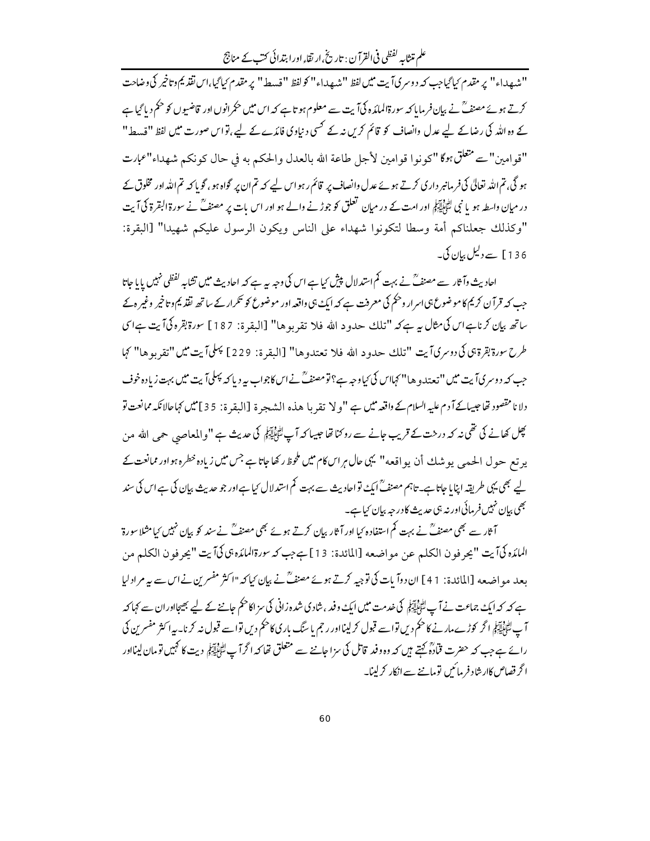علم متثابہ لفظی فی القرآن : تاریخی ارتقاء اور ابتدائی کتب کے مناجج

"شهداء" پر مقدم كياگياجب كه د وسر كيآيت ميں لفظ "شهداء" كولفظ "قسط" پر مقدم كياگيا،اس نقذ يم د تاخير كي وضاحت کرتے ہوئے مصنفؒ نے بیان فرمایا کہ سورۃالمائدہ کیآ بت سے معلوم ہو تاہے کہ اس میں حکمرانوں اور قاضیوں کو حکم دیا گیاہے کے وہ اللہ کی رضاکے لیے عدل وانصاف کو قائم کریں نہ کے کسی د نیاوی فائدے کے لیے،تواس صورت میں لفظ "قسط" "قوامين"ت متعلقٌّ بوكا "كونوا قوامين لأجل طاعة الله بالعدل والحكم به في حال كونكم شهداء"عمارت ہو گی، تم اللہ تعالیٰ کی فرمانبر داری کرتے ہوئے عدل وانصاف پر قائم رہو اس لیے کہ تم ان پر گواہ ہو، گو یا کہ تم الله اور مخلوق کے در میان واسطہ ہو یا نبی لٹائلاتیکی اور امت کے در میان تعلق کو جوڑنے والے ہو اور اس بات پر مصنف ؒ نے سورة البقرة کی آیت "وكذلك جعلناكم أمة وسطا لتكونوا شهداء على الناس ويكون الرسول عليكم شهيدا" [البقرة: 136 ] سے دلیل بیان کی۔

احادیث وآثار سے مصنفؒ نے بہت کم استدلال پیش کیاہے اس کی وجہ یہ ہے کہ احادیث میں تشایہ لفظی نہیں یا یا جاتا جب کہ قرآن کریم کا موضوع ہی اسرار وحکم کی معرفت ہے کہ ایک ہی واقعہ اور موضوع کو تکرار کے ساتھ لقلہ یم وتاخیر وغیر ہ کے ساتھ بيان كرناہاس كى مثال ہے ہے كہ "تلك حدود الله فلا تقربوها" [البقرۃ: 187] سورة بقرہ كى آيت ہےاسى طرح سورة بقرة بي كي دوسر كيآيت "تلك حدود الله فلا تعتدوها" [البقرة: 229] ببلي] يت ميں "تقربوها" كِما جب کہ دوسر کیآ بت میں "تعتدو ها" کہااس کی کیاوجہ ہے؟تو مصنفؒ نےاس کاجواب ہہ دیا کہ پہلیآ یت میں بہت زیادہ خوف دلانا مقصود تھا جيهائےآ دم عليه السلام كے واقعہ ميں ہے "و لا تقربا هذه الشعجرة [البقرة: 35]ميں كہاحالانكہ ممانعت تو مچل کھانے کی تھی نہ کہ درخت کے قریب جانے سے روکنا تھا جیسا کہ آپ لٹا پاتی ایک مدیث ہے "والمعاص<sub>ف</sub> حم<sub>ع</sub> الله من یر تع حول الحیہ یو شك أن یواقعه" یہی حال ہراس كام میں ملحوظ ركھاجاتا ہے جس میں زیادہ خطرہ ہواور ممانعت كے لیے بھی یہی طریقہ اپنایا جاتا ہے۔تاہم مصنفؒ ایکَ تواحادیث سے بہت کم استدلال کیا ہےاور جو حدیث بیان کی ہےاس کی سند *بھی* بیان نہیں فر مائی اور نہ ہی حدیث کا درجہ بیان کیا ہے۔

آثار سے بھی مصنفؒ نے بہت کم استفادہ کیا اور آثار بیان کرتے ہوئے بھی مصنفؒ نےسند کو بیان نہیں کیامثلا سورۃ الملدِّه كيآيت "يحرفون الكلم عن مواضعه [المائدة: 13] بججب كه سورةالملدِّه بي كيآيت "يحرفون الكلم من بعد مو اضعه [المائدة: 41] ان دوآ بات کی توجیه کرتے ہوئے مصنفؒ نے بیان کیا کہ "اکثر مفسر بن نےاس سے بہ مرادلیا ہے کہ کہ ایک جماعت نے آپ لٹا ایڈ ایک مصد میں ایک وفد ، شاد کی شدہ زانی کی سز اکا حکم جاننے کے لیے بھیجااور ان سے کہا کہ آپ ﷺ اگر کوڑے مارنے کا حکم دیں تواسے قبول کر لینااور رجم یا سنگ بار کی کا حکم دیں تواسے قبول نہ کرنا۔ یہ اکثر مفسرين کی رائے ہےجب کہ حضرت قمادہؓ کہتے ہیں کہ وہ وفد قاتل کی سزا جاننے سے متعلق تھا کہ اگر آپ لٹائلیّاتی دیت کا کہیں تومان لینااور ا گر قصاص کاارشاد فر مائیں تو ماننے سے انکار کرلینا۔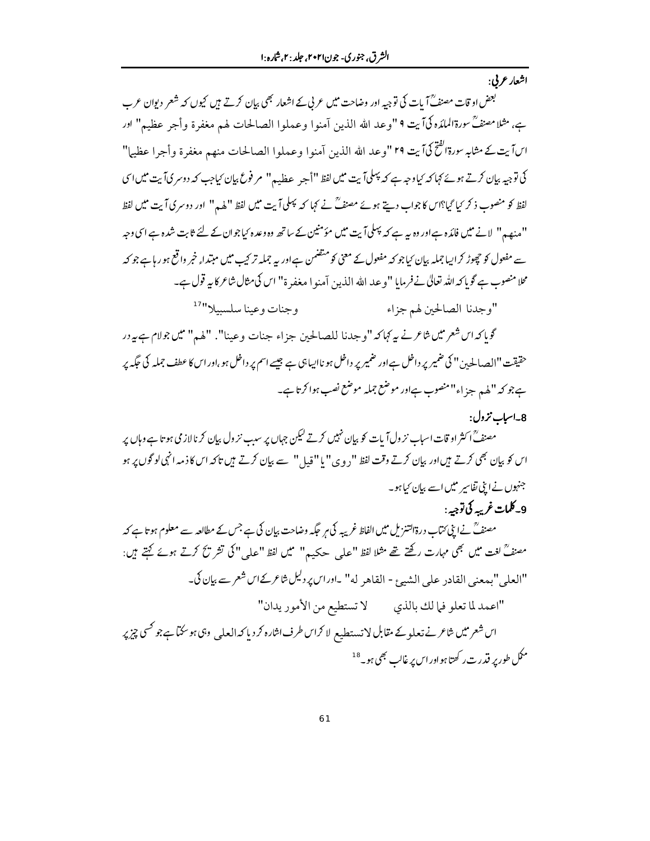اشعار عربي:

بعض او قات مصنفےؒ آیات کی توجیہ اور وضاحت میں عربی کے اشعار بھی بیان کرتے ہ<sub>یں</sub> کیوں کہ شعر دیوان عرب به، مثلا مصنفٌ سورةالملدِّه كيّ آيت ٩ "وعد الله الذين آمنوا وعملوا الصالحات لهم مغفرة وأجر عظيم" اور اسآ يت كے مثابہ سورةالفحِّكيآ يت ٢٩ "وعد الله الذين آمنوا وعملوا الصالحات منهم مغفرة وأجرا عظيماً" کی توجیہ بیان کرتے ہوئے کہا کہ کیاوجہ ہے کہ پہلی آیت میں لفظ "أجر عظیہہ" مر فوع بیان کیاجب کہ دوسر کیآیت میں اس لفظ کو منصوب ذ کر <sup>ر</sup>یا گیا؟اس کا جواب دیتے ہوئے مصنف ؒ نے کہا کہ پہلی آیت میں لفظ ''ہلمہ'' اور دوسر کی آیت میں لفظ ''منھیہ'' لانے میں فائدہ ہےاور وہ بیہ ہے کہ پہلیآ بت میں مؤمنین کے ساتھ وہ وعدہ <sup>ی</sup>باجوان کے لئے ثابت شدہ ہے اسی وجہ سے مفعول کو چھوڑ کراںیا جملہ بیان کیاجو کہ مفعول کے معنی کو متضمن ہےاور یہ جملہ تر کیب میں مبتدا, خبر واقع ہو رہاہے جو کہ محلا منصوب ہے گو پاکہ اللہ تعالیٰ نے فرمایا "وعد الله الذین آمنو ا مغفر ۃ" اس کی مثال شاعر کا بیر قول ہے۔

> وجنات وعينا سلسبيلا"<sup>17</sup> "وجدنا الصالحين لهم جزاء

گوياكه ا<sub>ك</sub> شعر ميں ش*اعر نے بہ کہاكہ* "وجدنا للصالحين جزاء جنات وعينا". "لهم" ميں جولام ہے *ب*ردر حقیقت "الصالحین" کی ضمیر پر داخل ہےاور ضمیر پر داخل ہو ناایباہی ہے جیسے اسم پر داخل ہو،اور اس کا عطف جملہ کی حکمہ پر ہے جو کہ "لھہر جزاء"منصوب ہےاور موضع جملہ موضع نصب ہوا کرتا ہے۔

8۔اسباب نزول:

مصنف<sup>7</sup> اکثر او قات اسیاب نز ول آیات کو بیان نہیں کرتے لیکن جہاں پر سب نز ول بیان کر نالاز می ہو تا ہے وہاں پر اس کو بیان بھی کرتے ہیں اور بیان کرتے وقت لفظ "دوی" یا "قیل" سے بیان کرتے ہیں تاکہ اس کا ذمہ انہی لو گوں پر ہو جنہوں نےاپنی تفاسیر میں اسے بیان کیا ہو۔

9-كلمات غربيه كي توجيه :

مصنفؒ نے اپنی کتاب درۃالتنزیل میں الفاظ غریبہ کی ہر جگہ وضاحت بیان کی ہے جس کے مطالعہ سے معلوم ہو تا ہے کہ مصنفؒ لغت میں بھی مہارت رکھتے تھے مثلا لفظ "علی حکیم" میں لفظ "علی" کی تشر تکح کرتے ہوئے کہتے ہیں: "العلي"بهعني القادر على الشيئ - القاهر له" -ا*ور*ا*ن پر دليل شاعر كے ان شعر سے بيان* كي۔ "اعمد لما تعلو فيا لك بالذي \_\_\_\_\_ لا تستطيع من الأمور يدان" اس شعر میں شاعر نے تعلو کے مقابل لا تستطیع لا کرا<sup>س</sup> طرف اشارہ کر دیا کہ العل<sub>عی</sub> وہی ہو سکتاہے جو کسی چیز پر مکل طور پر قدرت رکھتا ہواوراس پر غالب بھی ہو<sup>\_18</sup>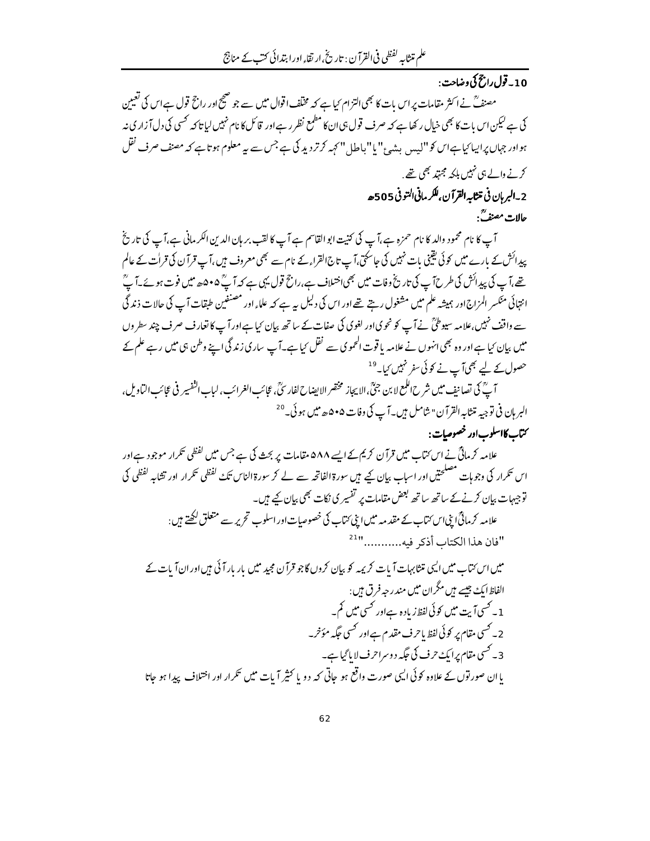# .<br>10\_قول راز<sup>ح</sup> کی وضاحت :

مصنفؒ نے اکثر مقامات پر اس بات کا بھی التزام کیا ہے کہ مخلّف اقوال میں سے جو صحیح اور راجح قول ہے اس کی تعیین کی ہے لیکن اس بات کا بھی خیال رکھا ہے کہ صرف قول ہی ان کا مطمع نظر رہےاور قائل کا نام نہیں لیا تاکہ <sup>کھی</sup>ں کی دل آ زاری نہ ہواور جہاں پراپیا کیاہےاس کو"لیس بشہٴ" یا" باطل " کہہ کرتردید کی ہے جس سے بیر معلوم ہو تا ہے کہ مصنف صرف نقل کرنے والے ہی نہیں بلکہ مجتہد بھی تھے .

# 2\_البربان في تنثابه القرآن،للكر ماني التوفي 505ﻫ

#### حالات مصنفٌ:

آپ کا نام محمود والد کا نام حمزہ ہے،آپ کی کنیت ابو القاسم ہے آپ کا لقب بر ہان الدین الکرمانی ہے،آپ کی تاریخ پیدائش کے بارے میں کوئی یقینی بات نہیں کی جاسکتی،آپ تاج القراء کے نام سے بھی معروف ہیں ،آپ قرآن کی قرات کے عالم تھے،آپ کی پیدائش کی طرح آپ کی تاریخ وفات میں بھی اختلاف ہے،راج قول یہی ہے کہ آپؒ ۴۰۵ھ میں فوت ہوئے۔آپؒ انتہائی منکسر المزاج اور ہمیشہ علم میں مشغول رہتے تھے اور اس کی دلیل یہ ہے کہ علماء اور مصنفین طبقات آپ کی حالات ذند گی سے واقف نہیں،علامہ سیوطیؒ نے آپ کو نحوی اور لغوی کی صفات کے ساتھ بیان کیا ہےاور آپ کا تعارف صرف چند سطر وں میں بیان کیا ہے اور وہ بھی انہوں نے علامہ یا قوت الحموی سے نقل کیا ہے۔آپ ساری زند گی اپنے وطن ہی میں رہے علم کے حصول کے لیے بھیآ پے نے کو ئی سفر نہیں <sub>کیا۔</sub> <sup>19</sup>

آ پؒ کی تصانیف میں شرح اللمع لا بن جنؒ،الا یجاز مختصر الا پیناح لفار سُؒ، عجائب الغرائب، لباب النفسير في عجائب الباديل، البريان في توجيه متثابه القرآن" شامل بين- آب کي وفات ۵۰۵ ه*ه ميل ہو* ئي-<sup>20</sup>

#### <sup>م</sup>تاب کا<sup>سلو</sup>ب اور خصوصات :

علامہ کر مالیؒ نے اس کتاب میں قرآن کر یم کے ایسے ۵۸۸ مقامات پر بحث کی ہے جس میں لفظی تکرار موجود ہے اور اس تکرار کی وجوہات مصلحتیں اور اسباب بیان کیے ہیں سورۃ الفاتحہ سے لے کر سورۃ الناس تک لفظی تکرار اور تشابہ لفظی کی توجیہات بیان کرنےکے ساتھ ساتھ بعض مقامات پر تفسیر کی نکات بھی بیان کیے ہیں۔ علامہ کرمائیؒا بیٗ اس کتاب کے مقد مہ میں اپنی کتاب کی خصوصیات اور اسلوب تحریر سے متعلق لکھتے ہیں : "فان هذا الكتاب أذكر فيه............" میں اس *کت*اب میں ایسی متنابہات آیات کریمہ کو بیان کروں گاجو قرآن مجید میں بار بار آئی ہیں اور ان آیات کے الفاظ ایک جیسے ہیں مگران میں مندر حہ فرق ہیں :

1۔ کسی آیت میں کوئی لفظ زیادہ ہےاور کسی میں کم۔ 2۔ کسی مقام پر کوئی لفظ باحرف مقدم ہےاور کسی جگہ مؤخر۔ 3۔ کسی مقام پرایک حرف کی جگہ دوسراحرف لا پا گیا ہے۔ یا ان صور توں کے علاوہ کوئی ایپی صورت واقع ہو جاتی کہ دو یا کثیر آیات میں تکرار اور اختلاف پیدا ہو جاتا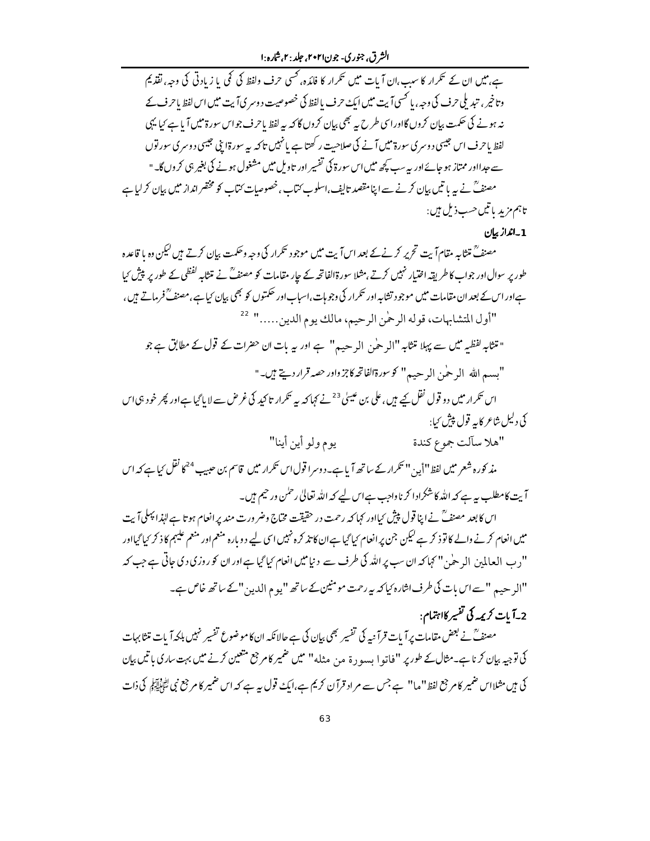الشرق، جنوري- جون۲۰۲۱، جلد : ۲.شاره :۱

ہے،میں ان کے تکرار کا سبب،ان آیات میں تکرار کا فائدہ، کسی حرف ولفظ کی کمی یا زیادتی کی وجہ،تفذیم وتاخیر ، تبدیلی حرف کی وجہ ، یا حسی آیت میں ایک حرف بالفظ کی خصوصیت دوسر کیاآیت میں اس لفظ باحرف کے نہ ہونے کی حکمت بیان کروں گااور اسی طرح پیہ بھی بیان کروں گا کہ یہ لفظ یاحرف جواس سورۃ میں آیا ہے کیا یہی لفظ یاحرف اس جیسی د وسری سورۃ میں آنے کی صلاحیت رکھتا ہے یا نہیں تاکہ یہ سورۃا پی جیسی دوسری سور توں سے حدااور ممتاز ہو جائےاور یہ سب کچھ میں اس سورۃ کی تفسیر اور تاویل میں مشغول ہونے کی بغیر ہی کروں گا۔" مصنفؒ نے بہ پاتیں بیان کرنے سے اپنا مقصد تالیف،اسلوب ُنتاب،خصوصیات ُنتاب کو مختصر انداز میں بیان کر لیا ہے تاہم مزید پاتیںحسب ذیل ہیں :

#### 1 - انداز بيان

مصنفؒ متثابہ مقام آیت تحریر کرنےکے بعد اس آیت میں موجود تکرار کی وجہ وحکمت بیان کرتے ہیں کیکن وہ یا قاعدہ طور پر سوال اور جواب کا طریقہ اختیار نہیں کرتے ،مثلا سورۃالفاتحہ کے جار مقامات کو مصنف ؒ نے متثابہ لفظی کے طور پر پیش کیا ہےاور اس کے بعد ان مقامات میں موجود تشابہ اور نکرار کی وجوہات،اسباب اور حکمتوں کو بھی بیان کیا ہے،مصنفؒ فرماتے ہیں، "أول المتشابهات، قوله الرحْمن الرحيم، مالك يوم الدين....." 22

" متثابہ لفظیہ میں سے پہلا متثابہ "ال<sub>ز</sub> حیٰن ال<sub>ز</sub> حیہہ" ہے اور یہ بات ان حضرات کے قول کے مطابق ہے جو "بسهرالله الد حين الرحيه" كوسورةالفاتحه كاجزواور حصه قرار ديخ بين-"

اس تکرار میں دو قول نقل کیے ہیں، علی بن عیسیٰ <sup>23</sup>نے کہا کہ یہ تکرار تا کید کی غر<sup>ص</sup> سے لا پا گیا ہےاور پھر خود ہی اس كى دليل شاعر كايه قول پيش كيا :

يوم ولو أين أينا" "هلا سآلت جموع كندة مذ کورہ شعر میں لفظ ''أیہ' '' تکرار کے ساتھ آ یا ہے۔دوسرا قول اس تکرار میں قاسم بن حبیب <sup>24</sup>کا نقل <sub>کیا ہ</sub>ے کہ اس آیت کامطلب ہیہ ہے کہ اللہ کاشکرادا کرناواجب ہےاس لیے کہ اللہ تعالیٰ رحمٰن ورحیم ہیں۔

اس کا بعد مصنفؒ نے اپنا قول پیش کیااور کہا کہ رحمت در حقیقت مخاج وضرورت مند پر انعام ہو تا ہے لہٰذا پہلی آیت میں انعام کرنے والے کا تو ذ کر ہے لیکن جن پر انعام کیا گیا ہے ان کا تذ کرہ نہیں اسی لیے دوبارہ منعم اور منعم علیہم کا ذ کر کیا گیااور "د ب العالمين المر ح<sup>ل</sup>ي " كہا كہ ان سب پر اللہ كى طرف سے دنيا **مي**ں انعام <sup>ب</sup>يا گيا ہے اور ان كو روزى دى جاتى ہے جب كہ "الرحيه, "سےاس بات كى طرف اشارہ كيا كہ ہہ رحمت مومنين كے ساتھ "يوم الدين" كے ساتھ خاص ہے۔

## 2-آيات كريمه كي تفيير كااہتمام:

مصنفؒ نے بعض مقامات پر آیات قرآ نیہ کی تفسیر بھی بیان کی ہے حالانکہ انکاموضوع تفسیر نہیں ہلکہ آیات متثابہات کی توجیہ بیان کرنا ہے۔مثال کے طور پر "فاتو! بسورۃ من مثله" میں ضمیر کامر جع متعین کرنے میں بہت ساری باتیں بیان کی ہیں مثلااس ضمیر کام جع لفظ "ما" ہے جس سے م اد قرآن کریم ہے،ایک قول یہ ہے کہ اس ضمیر کام جع نبی اتفاق کی ذات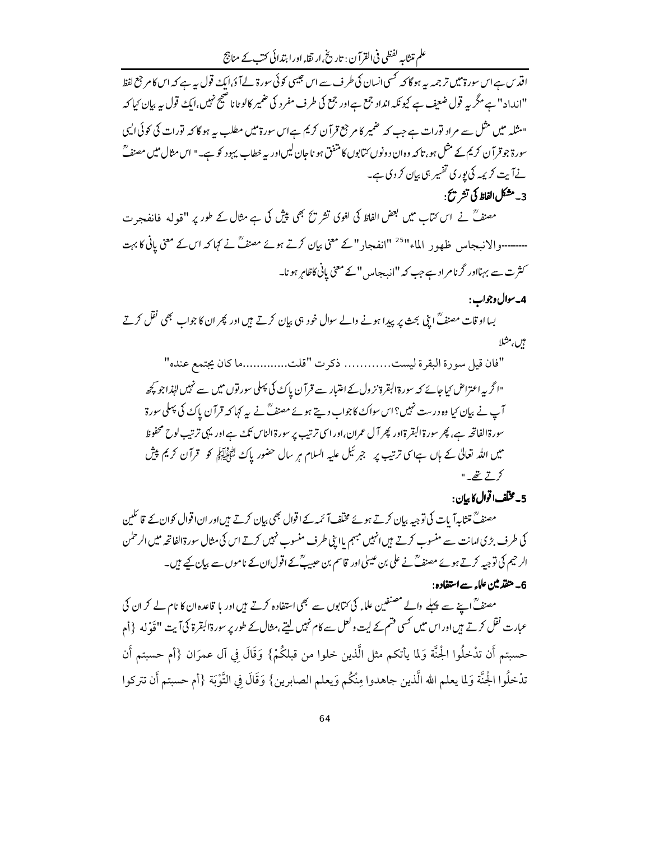علم متثابہ لفظی فی القرآن : تاریخی ارتقاء اور ابتدائی کتب کے مناجج

اقد س ہے اس سورۃ میں تر جمہ بیہ ہو گا کہ تحسی انسان کی طرف سے اس جیسی کوئی سورۃ لے آ ؤ،ایک قول ہے ہے کہ اس کا مرجع لفظ "انداد "ہے مگر پہ قول ضعیف ہے کیونکہ انداد جمع ہےاور جمع کی طرف مفرد کی ضمیر کالوٹانا صحیح نہیں،ایک قول بیہ بیان کیا کہ "مثلہ میں مثل سے مراد تورات ہےجب کہ ضمیر کام جع قرآن کریم ہےاس سورۃ میں مطلب یہ ہو گا کہ تورات کی کوئی ایپی سورۃ جو قرآن کریم کے مثل ہو ، تاکہ وہ ان دونوں کتابوں کا متفق ہو نا جان لیں اور پہ خطاب یہود کو ہے۔" اس مثال میں مصنفؒ نےآ بت کر پمہ کی پوری تفسیر ہی بیان کر دی ہے۔

# 3\_مشكل الفاظ كي تشريح .

مصنف ؒ نے اس کتاب میں بعض الفاظ کی لغوی تشریح بھی پیش کی ہے مثال کے طور پر ''قولہ فانفجر ت ۔۔۔۔۔۔۔والانبجاس ظھور الماء"<sup>25</sup> "انفجار"کے معنی بیا*ن کرتے ہوئے مصنفؓ نے کہا کہ اس کے* معنی پانی *کا بہت* کثرت سے بہنااور گرنامراد ہے جب کہ "انہ جامیں "کے معنی پانی کاظاہر ہو نا۔

#### 4\_سوال وجواب :

بسااو قات مصنفؒ ابنی بحث پر پیدا ہونے والے سوال خود ہی بیان کرتے ہیں اور پھر ان کا جواب بھی نقل کرتے *بن م*ثلا

"فان قيل سورة البقرة ليست............ ذكرت "قلت..................ا كان يجتمع عنده" "اگر پہ اعتراض کیا جائے کہ سورۃ البقرۃ نز ول کے اعتبار سے قرآن پاک کی پہلی سور توں میں سے نہیں البذاجو کچھ آپ نے بیان کیا وہ درست نہیں؟اس سواکً کاجواب دیتے ہوئے مصنف ؓ نے پہ کہا کہ قرآن پاکً کی پہلی سورۃ سورة الفاتحہ ہے، پھر سورة البقرة اور پھر آل عمران،اور اسی ترتیب پر سورة الناس تک ہے اور یہی ترتیب لوح محفوظ میں اللہ تعالیٰ کے ہاں ہےاسی ترتیب پر جبر ٹیل علیہ السلام ہر سال حضور پاک اٹھائیاتیو کو قرآن کریم پیش  $-575$ 

### 5 - مخلف اقوال كإبران :

مصنفؒ متثابہ آ بات کی توجیہ بیان کرتے ہوئے مخلف آ ئمہ کے اقوال بھی بیان کرتے ہیں اور ان اقوال کوان کے قائلین کی طرف بڑی امانت سے منسوب کرتے ہیں انہیں مبہم یااپنی طرف منسوب نہیں کرتے اس کی مثال سورۃالفاتحہ میں الرحمٰن الرحیم کی توجیہ کرتے ہوئے مصنفؒ نے علی بن عیسلی اور قاسم بن حبیبؒ کےاقولِ ان کے ناموں سے بیان کیے ہیں۔ 6۔ متقدمین علاء سےاستفادہ :

مصنفؒ اپنے سے پہلے والے مصنفین علماء کی ممّابوں سے بھی استفادہ کرتے ہیں اور یا قاعدہ ان کا نام لے کر ان کی عبارت نقل کرتے ہیں اور اس میں کسی فتم کے لیت ولعل سے کام نہیں لیتے،مثال کے طور پر سورۃالبقرۃ کیآ بت "قَوْله {أم حسبتم أن تدْخلُوا الجْنَّة وَلما يأتكم مثل الَّذين خلوا من قبلكُمْ} وَقَالَ فِي آل عمرَان {أم حسبتم أن تدْخلُوا الجْنَّة وَلما يعلم الله الَّذين جاهدوا مِنْكُم وَيعلم الصابرين} وَقَالَ فِي التَّوْبَة {أم حسبتم أَن تتركوا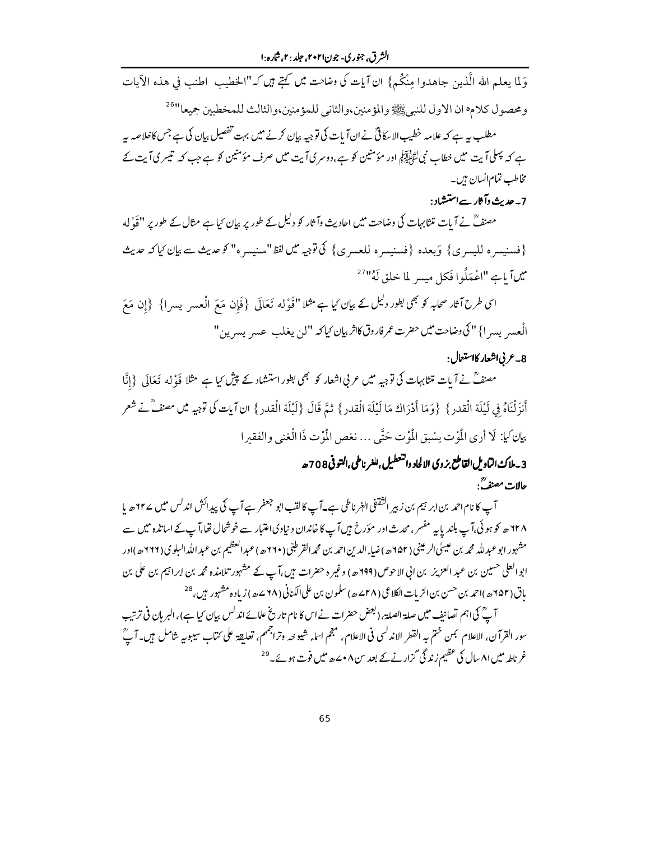الشرق، جنوري- جون۲۰۲۱، جلد : ۲.شاره :۱

وَلِما يعلم الله الَّذين جاهدوا مِنْكُم } ان آيات كي وضاحت ميں كتبے ميں كہ"الخطيب اطنب في هذه الآيات ومحصول كلام ان الاول للنبيﷺ والمؤمنين،والثاني للمؤمنين،والثالث للمخطبين جميعا"<sup>26</sup> مطلب یہ ہے کہ علامہ خطیب الاسکاٹیؒ نےانآ بات کی توجیہ بیان کرنے میں بہت تفصیل بیان کی ہے جس کاخلاصہ یہ ہے کہ پہلی آیت میں خطاب نبی لٹاؤلیکو اور مؤمنین کو ہے،دوسر کی آیت میں صرف مؤمنین کو ہے جب کہ تیسر کی آیت کے مخاطب تمام انسان ہیں۔

### 7۔ جدیث دآثار سےاستشاد :

مصنفؒ نے آیات متثابہات کی وضاحت میں احادیث وآثار کو دلیل کے طور پر بیان <sup>ک</sup>یا ہے مثال کے طور پر ''قَوْ له {فسنيسره لليسرى} وَبعده {فسنيسره للعسرى} كي توجيه ميں لفظ"سنيسره" كو صريث سے بيان كياكہ عديث میںآیاہے "اعْمَلُوا فَکل میسر لما خلق لَهُ"<sup>27</sup>

اسی طرح آثار صحابہ کو بھی بطور دلیل کے بیان کیا ہے مثلا ''قَوْله تَعَالَی {فَإِن مَعَ الْعسر يسرا} {إِن مَعَ الْعسرِ يسر ا} " كي وضاحت ميس حضرت عمر فاروق كاثر بيان كياكه "لن يغلب عسرِ يسرِين"

#### 8\_عربي|شعار كااستعال:

مصنفؒ نے آیات متثابہات کی توجیہ میں عربی اشعار کو بھی بطور استشاد کے پیش کیا ہے مثلا قَوْله تَعَالَى {إِنَّا أَنزَلْنَاهُ فِي لَيْلَة الْقدرِ } {وَمَا أَدْرَاك مَا لَيْلَة الْقدرِ } ثمَّ قَالَ {لَيْلَة الْقدرِ } ان آيات كي توجيه من مصنفٌ نے شَعر بِإِنَّ لِهِ أَرِي الْمُوتِ يسْبِقِ الْمُوْتِ حَتَّى ... نغص الْمُوْتِ ذَا الْغنى والفقيرا

# 3\_ملاك التاويل القاطع بزوي الالحاد والتعطيل ،للغر ناطي ،التو في 708 حد حالات مصنفَّ:

آپ کا نام احمد بن ابر ہیم بن زبیر انثقفی الہٰر ناطی ہے۔آپ کا لقب ابو جعفر ہے آپ کی پیدائش اندلس میں ۲۲ھ پا ۱۲۸ھ کو ہوئی،آپ بلندیا پہ مفسر،محدث اور مؤرخ ہیںآپ کا خاندان د نیاوی اعتبار سے خوشحال تھا،آپ کے اساتذہ میں سے مشہور ابو عبد للہ محمد بن عیسیٰ الر عینی (٦۵٢ھ) ضاء الدین احمد بن محمدالقر طبّی (٢٦٠ھ) عبد العظیم بن عبد الله البلوي (٢٦٦هه)اور ابو العلی حسین بن عبد العزیز بن انی الاحوص (199ﻫ) وغیرہ حضرات ہیں،آپ کے مشہور تلامذہ محمہ بن ابراہیم بن علی بن ياق (٢٥٢هه)احمد بن حسن بن الزيات الكلاعي (٢٨ سمه) سلمون بن على الكناني (٢٨ سمه) زياده مشہور بن ، <sup>28</sup>

آ بؒ کی اہم تصانف میں صلة الصلة، (بعض حضرات نے اس کا نام تاریخ علمائے اندلس بیان کیا ہے) ، البر ہان في ترتيب سور القرآن، الاعلام بمن ختم به القطر الاندلسي في الاعلام، مجم اساء شيوحه وتراجمهم، تعليقة على كتاب سيبوبه شامل بين- آبٌ غر ناطہ میں ۸۱ سال کی عظیم زند گی گزار نے کے بعد س ۰۸ سے پیش فوت ہوئے۔<sup>29</sup>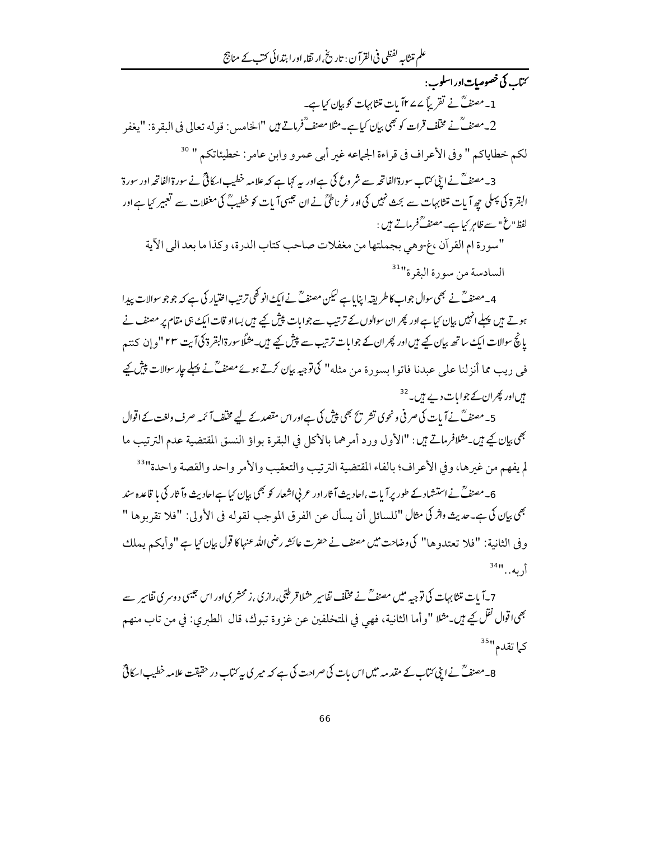سے کی خصوصیات اور اسلوب : 1۔مصنفؒ نے تقریباً ۷۷۷ بات متثابہات کو بیان کیاہے۔ 2\_مصنفٌ نے مخلّف قرات کو بھی بیان کیاہے۔مثلا مصنفٌ فرماتے ہیں "الخامس: قوله تعالی فی البقرۃ: "يغفر لكم خطاياكم " وفي الأعراف في قراءة الجماعه غير أبي عمرو وابن عامر : خطيئاتكم " <sup>30</sup> 3۔مصنفؒ نے ابنی کتاب سورۃالفاتحہ سے شر وع کی ہے اور یہ کہا ہے کہ علامہ خطیب اسکافیؒ نے سورۃ الفاتحہ اور سورۃ البقرۃ کی پہلی جھ آیات متثابہات سے بحث نہیں کی اور غرناطیؒ نے ان جیسی آیات کو خطیبؒ کی مغفلات سے تعبیر کیا ہے اور لفظ"غ" سے ظاہرِ کیا ہے۔مصنفؒفر ماتے ہیں : "سورة ام القرآن ،غ-وهي بجملتها من مغفلات صاحب كتاب الدرة، وكذا ما بعد الى الآية السادسة من سورة البقرة"<sup>31</sup>

4۔مصنفؒ نے بھی سوال جواب کا طریقہ اپنایا ہے لیکن مصنفؒ نے ایک انو کھی ترتیب اختیار کی ہے کہ جو جو سوالات پیدا ہوتے ہیں پہلے انہیں بیان کیا ہےاور پھر ان سوالوں کے ترتیب سے جوابات پیش کیے ہیں بسااو قات ایک ہی مقام پر مصنف نے پانچُ سوالات ایک ساتھ بیان کیے ہیں اور پھر ان کے جوابات ترتیب سے پیش کیے ہیں۔مثلاً سورۃالبقرۃ کی آیت ۲۳ "و إن كنتہم فی دیب مما أنزلنا علی عبدنا فاتوا بسود ۃ من مثله" کی توجیہ بیان کرتے ہوئے مصنفؒ نے پہلے جارسوالات پیش کیے ہیںاور پھران کے جوابات دیے ہیں۔<sup>32</sup>

5۔مصنفؒ نےآ بات کی صرفی ونحوی تشر یح بھی پیش کی ہےاور اس مقصد کے لیے مخلف آ ئمہ صرف ولغت کے اقوال مِجْمِي بيانِكِي مِيْنِ مِثْلافرِماتِ مِيْن: "الأول ورد أمرِهما بالأكل في البقرة بواؤ النسق المقتضية عدم الترتيب ما لم يفهم من غيرها، وفي الأعراف؛ بالفاء المقتضية الترتيب والتعقيب والأمر واحد والقصة واحدة"<sup>33</sup>

6۔مصنفؒ نے استشاد کے طور پر آیات ،اجادیث آثار اور عربی اشعار کو بھی بیان کیا ہےاجادیث وآثار کی یا قاعدہ سند بِهِي بِإِن كي ـِ حديث واثر كي مثال "للسائل أن يسأل عن الفرق الموجب لقوله في الأولى: "فلا تقربوها " وفي الثانية: "فلا تعتدوها" كي وضاحت ميں مصنف نے حضرت عائشہ رضي الله عنہا كا قول بيان كيا ہے "وأيكم يملك أربه..."<sup>34</sup>"

7 ۔آ یات متثابہات کی توجیہ میں مصنف ؒ نے مختلف نفاسیر مثلا قرطبّی،رازی ،زمحشر یااور اس جیسی دوسر کی نفاسیر سے <sup>بِصِ</sup>اقوال <sup>نق</sup>ل كِے ميں۔مثلا "وأما الثانية، فهي في المتخلفين عن غزوة تبوك، قال الطبري: في من تاب منهم کہا تقدم"<sup>35</sup>

8۔مصنفؒ نے اپنی کتاب کے مقدمہ میں اس بات کی صراحت کی ہے کہ میر کی بیہ کتاب در حقیقت علامہ خطیب اسکافیؒ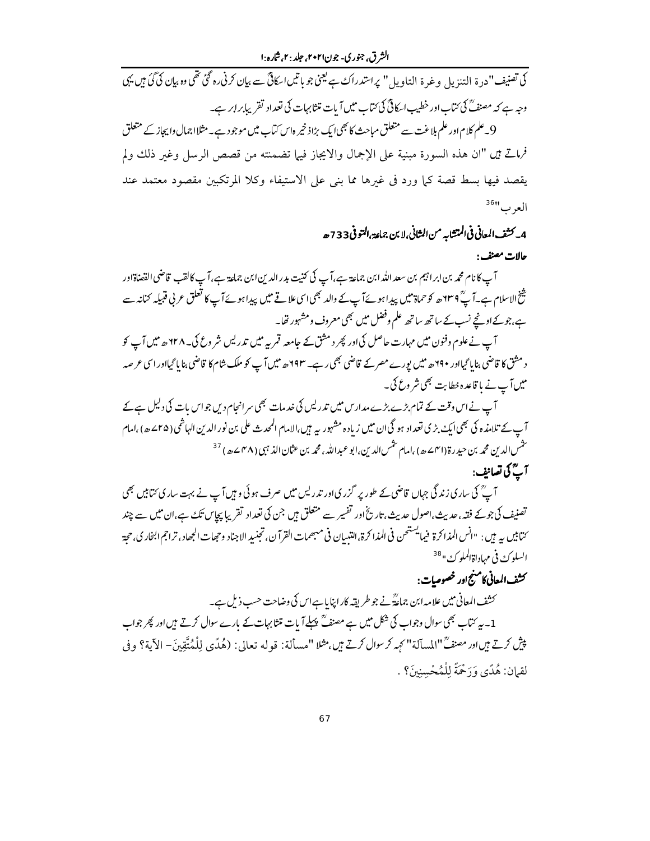الشرق، جنوري- جون۲۰۲۱، جلد : ۲.شاره :۱

کی تصنیف"درۃ التنزیل وغرۃ التاویل" پراستدراک ہے یعنی جو باتیںا کافیؒ سے بیان کرنی رہ گئی تھی وہ بیان کی گئی ہیں یہی وجہ ہے کہ مصنفؓ کی کتاب اور خطیب اسکافیؓ کی کتاب میں آیات متثابہات کی تعداد تقریبابرابر ہے۔ 9۔علم کلام اور علم ہلاغت سے متعلق مباحث کا بھی ایک بڑاذ خیر ہاس کیاب میں موجود ہے۔مثلااجمال واپجاز کے متعلق

فرماتٌ مين "ان هذه السورة مبنية على الإجمال والايجاز فيها تضمنته من قصص الرسل وغير ذلك ولم يقصد فيها بسط قصة كما ورد في غيرها مما بني على الاستيفاء وكلا المرتكبين مقصود معتمد عند العرب"<sup>36</sup>

4\_ كشف المعاني في المتشابه من الشاني،لا بن جماعة،التو في 733 حد

حالات مصنف:

آپ کا نام محمه بن ابراہیم بن سعد اللہ ابن جماعة ہے،آپ کی کنیت بدر الدین ابن جماعة ہے،آپ کالقب قاضی القضاةاور شخ الاسلام ہے۔آپؒ ۲۳۹ھ کو حماۃ میں پیدا ہوئےآپ کے والد بھی اسی علاقے میں پیدا ہوئےآپ کا تعلق عربی قبیلہ کنانہ سے ہے،جوکےاونچے نسب کے ساتھ ساتھ علم وفضل میں بھی معروف ومشہور تھا۔

آپ نے علوم وفنون میں مہارت حاصل کی اور پھر د مشق کے حامعہ قمر پہ میں تدریس شر وع کی۔ ۲۲۸ھ میں آپ کو د مثق کا قاضی بنایا گیااور ۲۹۰ھ میں پورے مصرکے قاضی بھی رہے۔ ۱۹۳ھ میں آپ کو ملک شام کا قاضی بنایا گیااور اسی عرصه میں آپ نے با قاعدہ خطابت بھی شر وع کی۔

آپ نے اس وقت کے تمام بڑے بڑے مداریں میں تدریس کی خدمات بھی سرانجام دیں جواس بات کی دلیل ہے کے آپ کے تلامذہ کی بھی ایک بڑی تعداد ہو گی ان میں زیادہ مشہور پہ ہیں،الامام المحدث علی بن نور الدین الہاشمی( ۲۵سے) ،امام شمس الدين محمه بن حيد رة (٣١) ٥ ه ) ،امام تتمس الدين،ابو عبد الله ، محمه بن عثمان الذ <sup>م</sup>بي (٣٨ ٥ هـ ه ) <sup>37</sup> آ گ گ تصانف :

آ پؒ کی ساری زند گی جہاں قاضی کے طور پر گزری اور تدریس میں صرف ہوئی و ہیں آپ نے بہت ساری ئتابیں بھی تصنیف کی جوکے فقہ، حدیث،اصول حدیث، تاریخ اور تفسیر سے متعلق ہیں جن کی تعداد تقریبا پچاس تکء ہے،ان میں سے چند ىما بين به بين : "انس المذاكرة فيما يستحن في المذاكرة، التبيان في مىجيمات القرآن، تجنيد الاجناد وحجلت الجحاد ، تراجم البخاري، حجة السلوكء في مهاد اة الملوكة " <sup>38</sup>

## كشف المعاني كامنهج اور خصوصات :

کشف المعانی میں علامہ ابن جماعٰتؓ نے جو طریقہ کارا پنایا ہےاس کی وضاحت حسب ذیل ہے۔ 1۔ بیر کتاب بھی سوال وجواب کی شکل میں ہے مصنفؒ پہلے آ پات متثا بہات کے بارے سوال کرتے ہیں اور پھر جواب يبْشِ كرتے بيںاور مصنفٌ"المسآلة"كهِمركرسوال كرتے بيں، مثلا "مسألة: قوله تعالى: (هُدًى لِلْمُتَّقِينَ- الآية؟ وفي لقيان: هُدًى وَرَحْمَةً لِلْمُحْسِنِينَ؟ .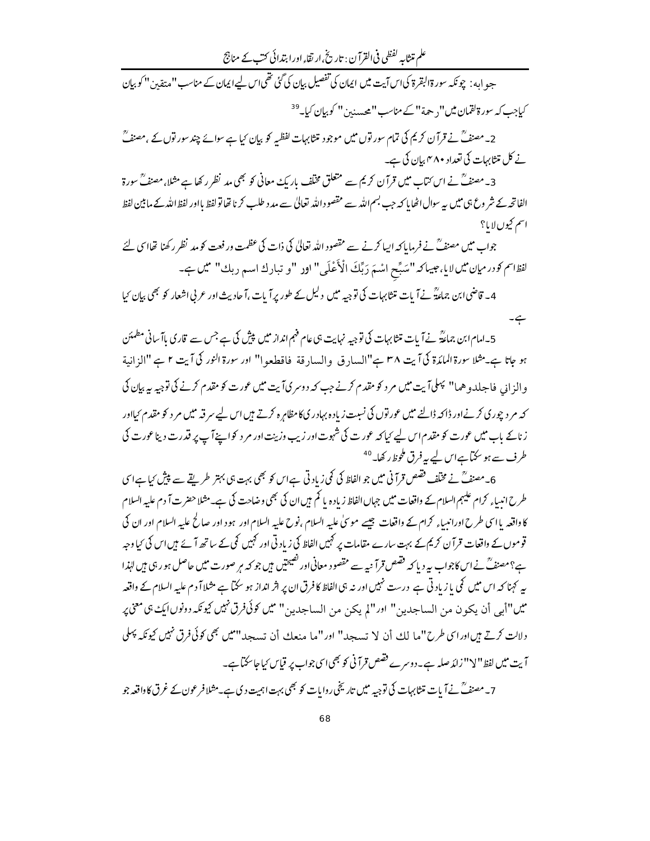علم متثابہ لفظی فی القرآن : تاریخ ،ار تقاء اور ابتدائی کتب کے مناجج

جہو امہ : چونکہ سورۃالبقرۃ کیاس آیت میں ایمان کی تفصیل بیان کی گئی تھی|س لیے|یمان کے مناسب "متقین" کو بیان کیاجب کہ سورۃ لقمان میں''<sub>د</sub> حہۃ'' کے مناسب''محسد بن'' کو بیان کیا۔<sup>39</sup>

2۔مصنفؒ نے قرآن کریم کی تمام سور توں میں موجود متثابہات لفظیہ کو بیان کیا ہے سوائے چند سور توں کے ،مصنفؒ نے کل متثابہات کی تعداد مہم بیان کی ہے۔

3۔مصنفؒ نے اس کتاب میں قرآن کریم سے متعلق مخلف باریک معانی کو بھی مد نظر رکھا ہے مثلا،مصنفؒ سورۃ الفاتحہ کے شر وع ہی میں ہے سوال اٹھا پا کہ جب بسم اللہ سے مقصود اللہ تعالیٰ سے مد د طلب کرنا تھا تو لفظ بااور لفظ اللہ کے مابین لفظ اسم کیوں لایا؟

جواب میں مصنف ؒ نے فرمایا کہ ایپا کرنے سے مقصود اللہ تعالیٰ کی ذات کی عظمت ور فعت کو مد نظر رکھنا تھاا ٖی لئے لفظاسم کوررمیان میں لایا، جیپاکہ "سَبِّح اسْمَ رَبِّكَ الْأَعْلَى" اور "و تبارك اسم ربك" میں ہے۔

4۔ قاضی ابن جماءکؓ نے آ بات متثابہات کی توجیہ میں دلیل کے طور پر آ بات ،آ حادیث اور عربی اشعار کو بھی بیان کیا ہے۔

5۔امام ابن جماعۃؓ نے آ بات متثابہات کی توجیہ نہایت ہی عام فہم انداز میں پیش کی ہے جس سے قاری باآ سانی مطمئن ہو جاتا ہے۔ مثلا سورۃ المائدۃ کی آیت ۳۸ ہے"السارق والسارقة فاقطعوا" اور سورۃ النور کی آیت ۲ ہے "الزانية و الز انی فاجلدو هما" پہلی آیت میں مر د کو مقدم کرنے جب کہ دوسر کیآیت میں عورت کو مقدم کرنے کی توجیہ یہ بیان کی کہ مر دیجوری کرنےاور ڈاکہ ڈالنے میں عور توں کی نسبت زیادہ بہادر کی کا مظاہرہ کرتے ہیں اس لیے سر قبہ میں مر د کو مقدم کیااور زناکے باب میں عورت کو مقدم اس لیے کیا کہ عورت کی شہوت اور زیب وزینت اور مر دیکواپنے آپ پر قدرت دینا عورت کی طرف سے ہو سکتاہےاس لیے پہ فرق ملحوظ رکھا۔ <sup>40</sup>

6۔مصنفؒ نے مخلف فقیص قرآنی میں جو الفاظ کی کمی زیاد تی ہےاس کو بھی بہت ہی بہتر طریقے سے پیش کیا ہےا سی طرح انبیاء کرام علیہم السلام کے واقعات میں جہاں الفاظ زیادہ یا کم ہیں ان کی بھی وضاحت کی ہے۔مثلا حضرت آ دم علیه السلام کا واقعہ یا اسی طرح اورانیساء کرام کے واقعات جیسے موٹیٰ علیہ السلام ،نوح علیہ السلام اور ہود اور صالح علیہ السلام اور ان کی قوموں کے واقعات قرآن کریم کے بہت سارے مقامات پر کہیں الفاظ کی زیاد تی اور کہیں کی کے ساتھ آ ئے ہیں اس کی <sup>ر</sup>ما وجہ ہے؟مصنفؒ نے اس کاجواب بیر دیا کہ فقیص قرآ نیہ سے مقصود معانی اور تفیحتیں ہیں جو کہ ہر صورت میں حاصل ہو رہی ہیں لہٰذا پہ کہنا کہ اس میں کی یا زیادتی ہے درست نہیں اور نہ ہی الفاظ کا فرق ان پر اثر انداز ہو سکتا ہے مثلا آ دم علیہ السلام کے واقعہ ميں"أبي أن يكون من الساجدين" اور"لم يكن من الساجدين" ميں *قل كوئى فرق نہيں كيونكہ دونوں ايك بى معنى پ* دلالت کرتے ہیں اور اسی طرح"ما لك أن لا تسجد" اور "ما منعك أن تسجد" ميں بھی كوئي فرق نہيں كيونكہ پہلی آیت میں لفظ" لا" زائد صلہ ہے۔دوسرے فقیص قرآنی کو بھی اسی جواب پر قیاس کیاجاسکتا ہے۔

7۔مصنفؒ نے آ بات متثابہات کی توجیہ میں تاریخی روایات کو بھی بہت اہمیت دی ہے۔مثلافر عون کے غرق کاواقعہ جو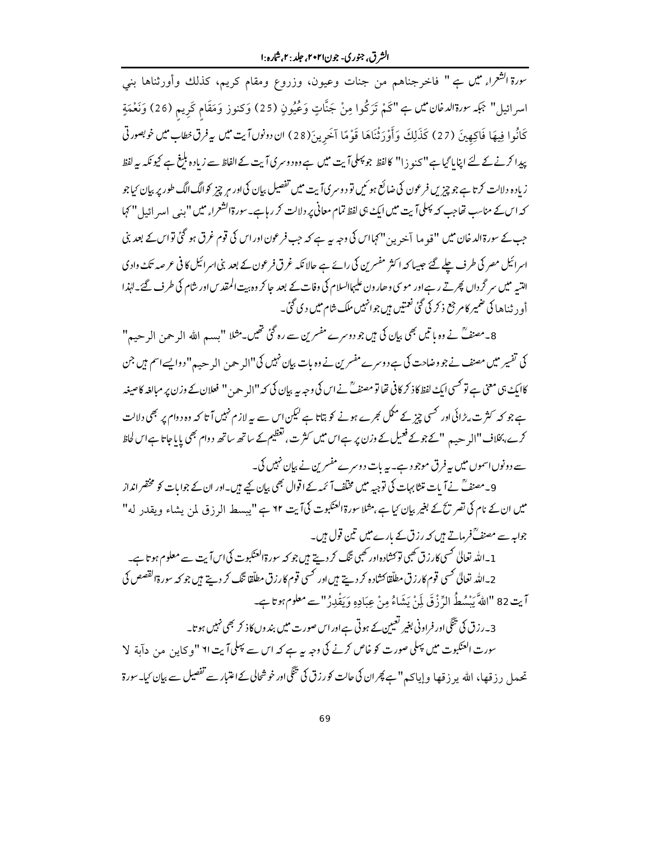سورة ا<sup>لش</sup>عراءِ ميں ہے " فاخرجناهم من جنات وعيون، وزروع ومقام كريم، كذلك وأورثناها بني اسرائيل" بَجَبہ سورةالدمْان مُمِّن بِ "كَمْ تَرَكُوا مِنْ جَنَّاتٍ وَعُيُونٍ (25) وَكنوز وَمَقَام كَرِيم (26) وَنَعْمَةٍ كَانُوا فِيهَا فَاكِهِينَ (27) كَذَلِكَ وَأَوْرَثْنَاهَا قَوْمًا آخَرِينَ(28) ان دونوںآ يت ميں يہ فرق نطاب ميں نوبصورتى پیدا کرنے کے لئے اپنایا گیا ہے "کنو زا" کالفظ جو پہلیآ بت میں ہے وہ دوسری آیت کے الفاظ سے زیادہ بلبغ ہے کیونکہ بیہ لفظ زیادہ دلالت کرتا ہے جو چیزیں فرعون کی ضائع ہو ئیں تو دوسریآ یت میں تفصیل بیان کی اور مر چیز کوالگ الگ طور پر بیان کیاجو کہ اس کے مناسب تھاجب کہ پہلی آیت میں ایک ہی لفظ تمام معانی پر دلالت کر رہا ہے۔ سورۃالشعراء میں "بنی امیر ائیل " کہا جب کے سورۃالد خان میں "قو ما آخرین" کہااس کی وجہ ہیے ہے کہ جب فرعون اور اس کی قوم غرق ہو گئی تواس کے بعد بنی اسرائیل مصر کی طرف چلے گئے حبیبا کہ اکثر مفسرین کی رائے ہے حالا نکہ غرق فرعون کے بعد بنی اسرائیل کا فی عرصہ تک واد ک التبیہ میں سر گرداں پھرتے رہےاور موسی و حارون علیہاالسلام کی وفات کے بعد جا کر وہ بیت المقد س اور شام کی طرف گئے۔انہذا أو , ثناها کی ضمیر کام جع ذ کر کی گئی نعمتیں ہیں جوانہیں ملک شام میں د کی گئی۔

8۔مصنفؒ نے وہ باتیں بھی بیان کی ہیں جو دوسرے مفسرین سے رہ گئی تھیں۔مثلا "بسہ اللہ الرحمن الرحيح " کی تفسیر میں مصنف نے جو وضاحت کی ہے دوسرے مفسرین نے وہ بات بیان نہیں کی"ال<sub>ر</sub> حہ<sub>ن</sub> ال<sub>ر</sub> ح<sub>ص</sub>م" دوایسے اسم ہیں جن کاایک ہی معنی ہے تو کسی ایک لفظ کا ذکر کافی تھا تو مصنفؒ نے اس کی وجہ یہ بیان کی کہ ''الہ حین '' فعلان کے وزن پر مبالغہ کا صیغہ ہے جو کہ کثرت ،بڑائی اور کسی چیز کے مکمل عجرے ہونے کو بتاتا ہے لیکن اس سے بہ لازم نہیں آ تا کہ وہ دوام پر بھی دلالت کرے،بخلاف "ال<sub>ر</sub> ہے ہیں"کے جوکے فعیل کے وزن پر ہےاس میں کثرت ، تعظیم کے ساتھ ساتھ دوام بھی یا با جاتا ہےاس لحاظ سے دونوںاسموں میں پیرفرق موجود ہے۔ یہ بات دوسرے مفسرین نے بیان نہیں کی۔

9۔مصنفؒ نےآ بات متنابہات کی توجیہ میں مخلّف آ ئمہ کے اقوال بھی بیان کیے ہیں۔اور ان کے جوابات کو مختصر انداز میں ان کے نام کی تصریح کے بغیر بیان <sub>کیا ہ</sub>ے ،مثلا سورۃالعنکبوت کی**آ پت ٦٢ ہے "پیسط الر** ذ ق بلن پشاء و بقدد له" جوابہ سے مصنفؒ فرماتے ہیں کہ رزق کے بارے میں تین قول ہیں۔

1 ۔اللہ تعالیٰ کھسی کارزق کھبی توکشادہ اور کھبی تنگ کر دیتے ہیں جو کہ سورۃالعنکبوت کی اس آیت سے معلوم ہو تاہے۔ 2 ـ الله تعالىٰ كسى قوم كارزق مطلّقا كشاده كر ديتے ہيں اور كسى قوم كارزق مطلّقا تنگ كر ديتے ہيں جو كہ سورةالقصص كى آيت 82 "اللَّهَ يَسْهُطُ الرِّ زْ قَ لَمْنْ يَشَاءُ مِنْ عِيَادِهِ وَيَقْدِرُ "سے معلوم ہوتاہے۔

۔<br>3۔رزق کی تنگی اور فراونی بغیر تعیین کے ہوتی ہےاور اس صورت میں بندوں کاذ کر بھی نہیں ہو تا۔ تھعدل رزقھا، اللہ پر زقھا وإيا كہ "ہے پھران كى حالت *كورز*ق كى تنگىاور خوشحالى كےاعتبار سے تفصيل سے بي<sub>ا</sub>ن كيا۔سورة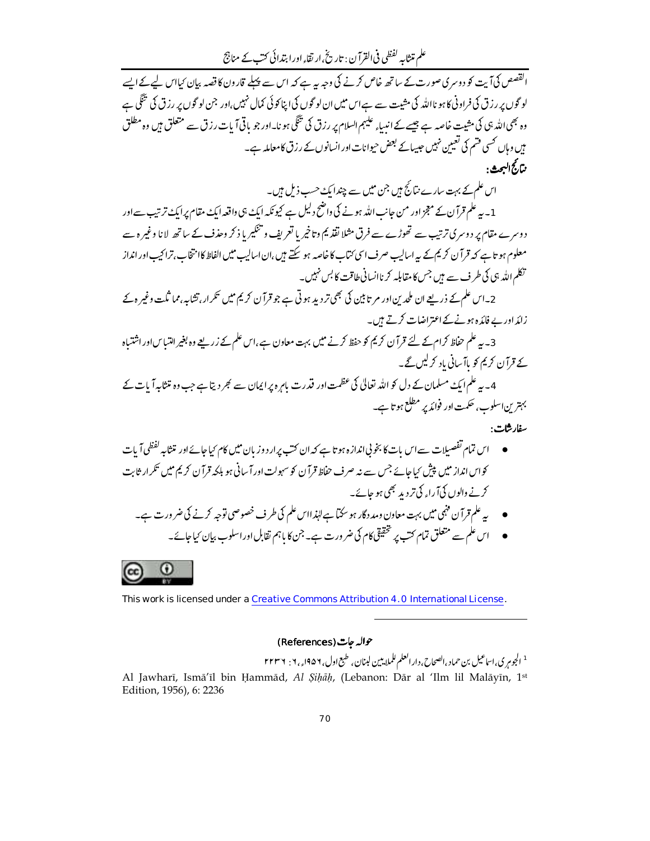علم متثابہ لفظی فی القرآن : تاریخ ارتقاء اور ابتدائی کتب کے مناجج

۔<br>القصص کی آیت کو دوسر کی صورت کے ساتھ خاص کرنے کی وجہ ہیہ ہے کہ اس سے پہلے قارون کا قصہ بیان کیااس لیے کے ایسے لو گوں پر رزق کی فراونی کا ہو نااللہ کی مثیت سے ہےاس میں ان لو گوں کی اپنا کوئی کمال نہیں،اور جن لو گوں پر رزق کی تنگی ہے وہ بھی اللہ ہی کی مشیت خاصہ ہے جیسے کے اندباءِ علیہم السلام پر رزق کی تنگی ہو نا۔اور جو باقی آیات رزق سے متعلق ہیں وہ مطلق ہیں وہاں کھسی فتیم کی تعیین نہیں جیسائے بعض حیوانات اور انسانوں کے رزق کامعاملہ ہے۔ بتارجُ الهجيڤ ·

اس علم کے بہت سارے نتائج ہیں جن میں سے چند ایک حسب ذیل ہیں۔

1 ۔ یہ علم قرآ ن کے معجز اور من جانب اللہ ہونے کی داضح دلیل ہے کیونکہ ایک ہی داقعہ ایک مقام پر ایک ترتیب سے اور دوسرے مقام پر دوسری ترتیب سے تھوڑے سے فرق مثلا نقذ یم وتاخیر یا تعریف و تنگیر یا ذ کر وحذف کے ساتھ لانا وغیر ہ سے معلوم ہو تا ہے کہ قرآن کریم کے یہ اسالیپ صرف اسی ُمْبَاب کا خاصہ ہو سکتے ہیں،ان اسالیپ میں الفاظ کاامتخاب،ترا کیپ اور انداز ۔<br>تکلم اللہ بی کی طرف سے ہیں جس کا مقابلہ کر ناانسانی طاقت کا<sup>یس نہ</sup>ییں۔

2۔اس علم کے ذریعے ان ملحد ین اور مر تابین کی بھی تر دید ہو تی ہے جو قرآن کریم میں تکرار،تشابہ مما ثلت وغیر ہ کے زائداور بے فائدہ ہونے کے اعتراضات کرتے ہیں۔

3۔ یہ علم حفاظ کرام کے لئے قرآن کریم کو حفظ کرنے میں بہت معاون ہے ،اس علم کے زریعے وہ بغیر اہتیاس اور اشتیاہ کے قرآن کریم کو پاآ سانی یاد کرلیں گے۔

4۔ یہ علم ایک مسلمان کے دل کو اللہ تعالیٰ کی عظمت اور قدرت باہرہ پر ایمان سے ٹھر دیتا ہے جب وہ تنثا پہ آیات کے بہترین اسلوب، حکمت اور فوائد پر مطلع ہو تا ہے۔

سفارشات:

- اس تمام تفصیلات سے اس بات کا بخو ٹی اندازہ ہو تا ہے کہ ان کتب پرار دوز بان میں کام کیاجائے اور متثابہ لفظي آپات کواس انداز میں پیش کیا جائے جس سے نہ صرف حفاظ قرآن کو سہولت اور آ سانی ہو بلکہ قرآن کریم میں تکرار ثابت کرنے والوں کیآ راہ کی تردید بھی ہو جائے۔
	- په علم قرآن فنہی میں بہت معاون ومد دگار ہو سکتا ہے لہٰذااس علم کی طرف خصوصی توجہ کرنے کی ضر ورت ہے۔ ● اس علم سے متعلق تمام کتب پر تحقیقی کام کی ضر ورت ہے۔ جن کا باہم ثقابل اور اسلوب بیان کیاجائے۔

 $\circled{c}$   $\circled{0}$ 

This work is licensed under a Creative Commons Attribution 4.0 International License.

حوالہ جات (References)

<sup>1</sup> الجوم کی،اساعیل بن حماد ،انصحاح، دار انعلم للملایین لبنان، طبع اول، ۱۹۵۶<sub>ء، ۱</sub>۰ : ۲۲۳۶ Al Jawharī, Ismā'īl bin Ḥammād, Al Șihāh, (Lebanon: Dār al 'Ilm lil Malāyīn, 1st Edition, 1956), 6: 2236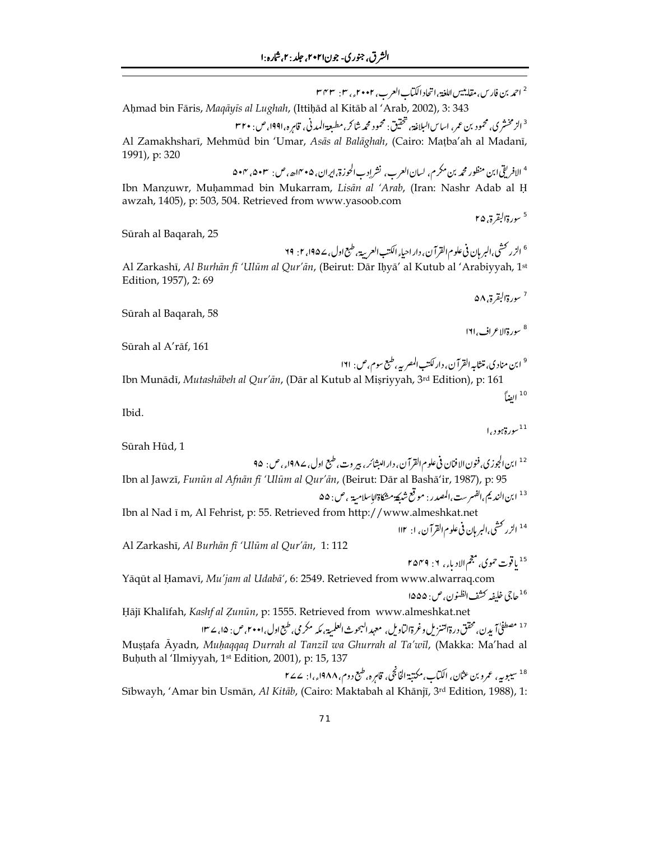<sup>2</sup> احمد بن فارس، مقاينيس اللغة، اتحاد الكيّاب العرب، ٢٠٠٢<sub>ء،</sub> ٢٠ يهم ٣ Ahmad bin Fāris, Maqāyīs al Lughah, (Ittihād al Kitāb al 'Arab, 2002), 3: 343 <sup>3</sup> الزمخشر کی، محمود بن عمر، اساس البلاغة، تحقیق: محمود محمه شاکر، مطبعة المدنی، قامرہ، ۱۹۹۱، ص: ۳۲۰ Al Zamakhsharī, Mehmūd bin 'Umar, Asās al Balāghah, (Cairo: Mațba'ah al Madanī, 1991), p: 320 <sup>4</sup> الافريقي ابن منظور محمه بن مكر م، لسان العرب، نشر إدب الحوزة، ايران، ۴۰×اه، ص: ۵۰۳، ۵۰۳ Ibn Manzuwr, Muhammad bin Mukarram, Lisān al 'Arab, (Iran: Nashr Adab al H awzah, 1405), p: 503, 504. Retrieved from www.yasoob.com <sup>5</sup> سورة البقرة, ۲۵ Sūrah al Baqarah, 25 <sup>6</sup> الزر كشي،البر <sub>ث</sub>ان في علوم القرآن، دار احيا<sub>ة</sub> الكتب العربية، طبع اول، ١٩٥۷، ٢: ٢٩ Al Zarkashī, Al Burhān fī 'Ulūm al Qur'ān, (Beirut: Dār Ihyā' al Kutub al 'Arabiyyah, 1st Edition, 1957), 2:69 <sup>7</sup> سورةالبقرة ، ۵۸ Sūrah al Baqarah, 58 <sup>8</sup> سورةالاعراف، ١٦١ Sūrah al A'rāf, 161 رة $\kappa$ ور)  $^{-11}$ Sūrah Hūd, 1 <sup>12</sup> ابن الجوزي. فنون الافنان في علوم القرآن، دار ا<sub>لبشائر،</sub> بير وت، طبع اول، ١٩٨۷<sub>ء،</sub> ص: ٩۵ Ibn al Jawzī, Funūn al Afnān fī 'Ulūm al Qur'ān, (Beirut: Dār al Bashā'ir, 1987), p: 95 <sup>13</sup> ابن النديمي الفهرست،المصدر : موقع شبكة مشكاة الإسلامية ، ص: ۵۵ Ibn al Nad ī m, Al Fehrist, p: 55. Retrieved from http://www.almeshkat.net Al Zarkashī, Al Burhān fī 'Ulūm al Qur'ān, 1:112 <sup>15</sup> ياقوت حموي، مجم الادياء، ٢: ٢٥٢٩ Yāqūt al Ḥamavī, Mu'jam al Udabā', 6: 2549. Retrieved from www.alwarraq.com <sup>16</sup>حاجي خليفه كشف انظنون، ص: ۱۵۵۵ Hājī Khalīfah, Kashf al Zunūn, p: 1555. Retrieved from www.almeshkat.net <sup>17</sup> مصطفحاً آيدن، محقق درةالتنزيل وغرةالباويل، معهد البحوث العلمية، مكه مكر مي، طبع اول، ٢٠٠١، ص: ۱۵، ٢٣١

Mustafa Āyadn, Muhaqqaq Durrah al Tanzīl wa Ghurrah al Ta'wīl, (Makka: Ma'had al Buḥuth al 'Ilmiyyah, 1<sup>st</sup> Edition, 2001), p: 15, 137

<sup>18</sup> سيبوبي<sub>،</sub> عمرو بن عثان، الكتاب،مكتبة الخانجي، قابره،طبع دوم، ١٩٨٨<sub>ء،</sub>ا: ٢۷۷ Sībwayh, 'Amar bin Usmān, Al Kitāb, (Cairo: Maktabah al Khānjī, 3rd Edition, 1988), 1:

Ibn Munādī, Mutashābeh al Qur'ān, (Dār al Kutub al Miṣriyyah, 3rd Edition), p:  $[$ الضاً $^{\,10}$ 

Ibid.

$$
\begin{array}{cccc}\n\bullet & & & & \\
\bullet & & & & & \\
\bullet & & & & & \\
\end{array}
$$

$$
\mathcal{L}^{\mathcal{L}}(\mathcal{L})
$$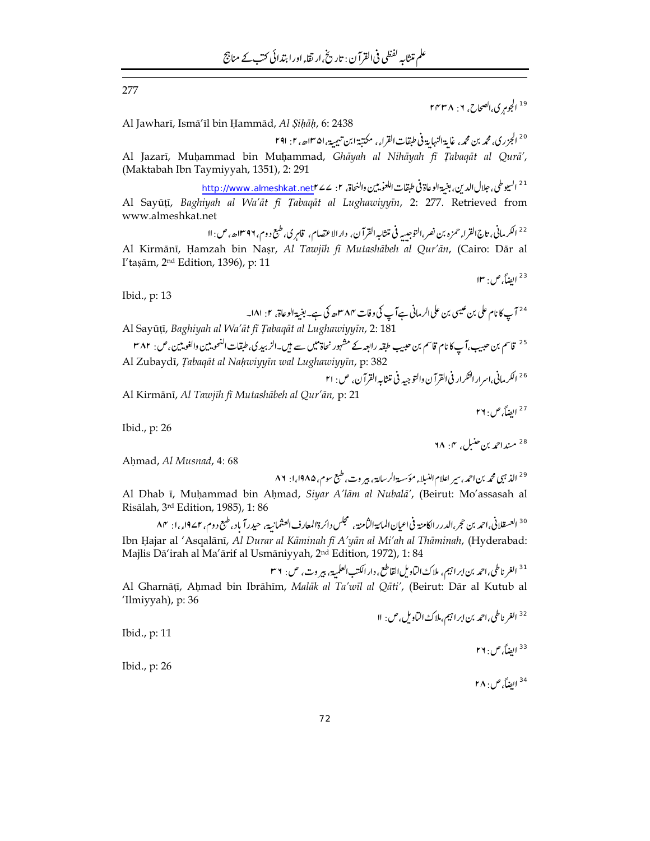277

<sup>19</sup> الجوم ي,الصحاح, ٢: ٢٢٣٨

Al Jawharī, Ismā'īl bin Ḥammād, Al Șiḥāḥ, 6: 2438

<sup>20</sup> الجزري، محمه بن محمه، غاية النهاية في طبقات القراء، مكتبة ابن تيمية، ١٣٥١هه، ٢. ٢٩١

Al Jazarī, Muḥammad bin Muḥammad, Ghāyah al Nihāyah fī Ţabaqāt al Qurā', (Maktabah Ibn Taymiyyah, 1351), 2: 291

<sup>21</sup> السيوطي، جلال الدين، بغية الوعاة في طبقات اللعوييين والنحاة، ٢: Attp://www.almeshkat.net Al Sayūțī, Baghiyah al Wa'āt fī Țabaqāt al Lughawiyyīn, 2: 277. Retrieved from www.almeshkat.net

<sup>22</sup> الكرماني، تاج القراء حمزه بن نصر،التوجيبه في متثابه القرآن، دارالاعتصام، قامر ي طبع د وم، ١٣٩٦ه، ص: ١١ Al Kirmānī, Ḥamzah bin Naṣr, Al Tawjīh fī Mutashābeh al Qur'ān, (Cairo: Dār al I'tașām, 2<sup>nd</sup> Edition, 1396), p: 11

Ibid., p: 13

Al Kirmānī, Al Tawjīh fī Mutashābeh al Qur'ān, p: 21

<sup>27</sup> ايضاً, ص: ٢٦

<sup>23</sup> الضاً ص: ١٣

Ibid.,  $p: 26$ 

<sup>28</sup> مند احمد بن حنبل عن ۲۸۰۴

Ahmad, Al Musnad, 4:68

Al Dhab ī, Muhammad bin Ahmad, Siyar A'lām al Nubalā', (Beirut: Mo'assasah al Risālah, 3rd Edition, 1985), 1:86

<sup>30</sup> العسقلاني،احمد بن حجر،الدرر الكامنة في اعيان المائة الثامنة ، مجلس دائرة المعارف العثمانية، حيدرآ باد، طبع دوم، ١٤٢١ء،ا: ٨٣ Ibn Hajar al 'Asqalānī, Al Durar al Kāminah fī A'yān al Mi'ah al Thāminah, (Hyderabad: Majlis Dā'irah al Ma'ārif al Usmāniyyah, 2nd Edition, 1972), 1:84

$$
I^{*} \setminus \{\sigma_{\mathcal{A}}, \sigma_{\mathcal{A}}\} \text{ such that } \sigma_{\mathcal{A}} \text{ such that } \sigma_{\mathcal{A}} \text{ such that } \sigma_{\mathcal{A}} \text{ such that } \sigma_{\mathcal{A}} \text{ such that } \sigma_{\mathcal{A}} \text{ such that } \sigma_{\mathcal{A}} \text{ such that } \sigma_{\mathcal{A}} \text{ such that } \sigma_{\mathcal{A}} \text{ such that } \sigma_{\mathcal{A}} \text{ such that } \sigma_{\mathcal{A}} \text{ such that } \sigma_{\mathcal{A}} \text{ such that } \sigma_{\mathcal{A}} \text{ such that } \sigma_{\mathcal{A}} \text{ such that } \sigma_{\mathcal{A}} \text{ such that } \sigma_{\mathcal{A}} \text{ such that } \sigma_{\mathcal{A}} \text{ such that } \sigma_{\mathcal{A}} \text{ such that } \sigma_{\mathcal{A}} \text{ such that } \sigma_{\mathcal{A}} \text{ such that } \sigma_{\mathcal{A}} \text{ such that } \sigma_{\mathcal{A}} \text{ such that } \sigma_{\mathcal{A}} \text{ such that } \sigma_{\mathcal{A}} \text{ such that } \sigma_{\mathcal{A}} \text{ such that } \sigma_{\mathcal{A}} \text{ such that } \sigma_{\mathcal{A}} \text{ such that } \sigma_{\mathcal{A}} \text{ such that } \sigma_{\mathcal{A}} \text{ such that } \sigma_{\mathcal{A}} \text{ such that } \sigma_{\mathcal{A}} \text{ such that } \sigma_{\mathcal{A}} \text{ such that } \sigma_{\mathcal{A}} \text{ such that } \sigma_{\mathcal{A}} \text{ such that } \sigma_{\mathcal{A}} \text{ such that } \sigma_{\mathcal{A}} \text{ such that } \sigma_{\mathcal{A}} \text{ such that } \sigma_{\mathcal{A}} \text{ such that } \sigma_{\mathcal{A}} \text{ such that } \sigma_{\mathcal{A}} \text{ such that } \sigma_{\mathcal{A}} \text{ such that } \sigma_{\mathcal{A}} \text{ such that } \sigma_{\mathcal{A}} \text{ such that } \sigma_{\mathcal{A}} \text{ such that } \sigma_{\mathcal{A}} \text{ such that } \sigma_{\mathcal{A}} \text{ such that } \sigma_{\mathcal{A}} \text{ such that } \sigma_{\mathcal{A}} \text{ such that } \sigma_{\mathcal{A}} \text{ such that } \sigma_{\math
$$

Al Gharnāțī, Ahmad bin Ibrāhīm, Malāk al Ta'wīl al Qāti', (Beirut: Dār al Kutub al 'Ilmiyyah), p: 36

Ibid., p: 11

ايضاً، ص: ۲۶  $\frac{1}{3}$ 

Ibid., p: 26

<sup>34</sup> ابضاً، ص: ۲۸